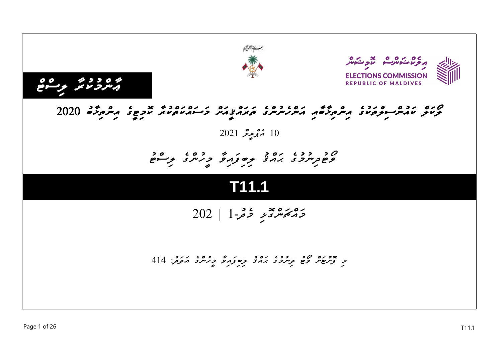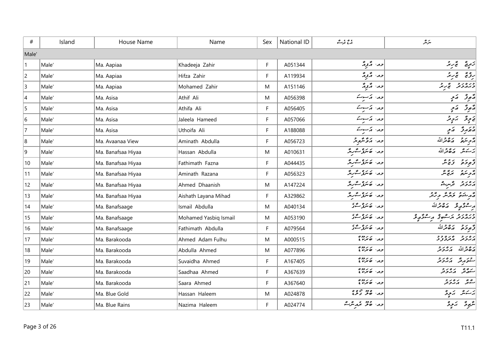| #               | Island | House Name         | Name                  | Sex | National ID | ېره پر شه                          | ىئرىتر                         |
|-----------------|--------|--------------------|-----------------------|-----|-------------|------------------------------------|--------------------------------|
| Male'           |        |                    |                       |     |             |                                    |                                |
|                 | Male'  | Ma. Aapiaa         | Khadeeja Zahir        | F   | A051344     | در. رُوِرٌ                         | كَ مَرِيحٌ لِمَحْ رِيمٌ        |
| 2               | Male'  | Ma. Aapiaa         | Hifza Zahir           | F   | A119934     | در. رُبِّر                         | رومج كحجر بز                   |
| $\vert$ 3       | Male'  | Ma. Aapiaa         | Mohamed Zahir         | M   | A151146     | در. رُبورٌ                         | وره د و په د                   |
| $\vert 4$       | Male'  | Ma. Asisa          | Athif Ali             | M   | A056398     | وە، ئەسەسە                         | ړ پور کړې                      |
| $\overline{5}$  | Male'  | Ma. Asisa          | Athifa Ali            | F   | A056405     | ور کرس ک                           | ړېږ کړې                        |
| $\vert 6 \vert$ | Male'  | Ma. Asisa          | Jaleela Hameed        | F   | A057066     | وە، ئەسەسە                         | ر<br>ئىم ئىچى ئىچى<br>برَحٍ قر |
| 7               | Male'  | Ma. Asisa          | Uthoifa Ali           | F   | A188088     | وە، ئەسەسە                         | معرورة المالح                  |
| 8               | Male'  | Ma. Avaanaa View   | Aminath Abdulla       | F   | A056723     | دړ٠ روشوه                          | أتحريده الاهتمالله             |
| $ 9\rangle$     | Male'  | Ma. Banafsaa Hiyaa | Hassan Abdulla        | M   | A010631     | ور. خىترىر شرىژ                    | تزكيش وكافدالله                |
| 10              | Male'  | Ma. Banafsaa Hiyaa | Fathimath Fazna       | F   | A044435     | ور. ھَسَرُ مُسَرَسَّر              | وَجوحَمَ وَيَمْسُ              |
| 11              | Male'  | Ma. Banafsaa Hiyaa | Aminath Razana        | F   | A056323     | حەر، ئەسكە ئەس <sup>كە</sup> ر بىر | أزجر سكرة التمريح مثن          |
| 12              | Male'  | Ma. Banafsaa Hiyaa | Ahmed Dhaanish        | M   | A147224     | وړ· ځندو گرنگر                     | أرور وكرس                      |
| 13              | Male'  | Ma. Banafsaa Hiyaa | Aishath Layana Mihad  | F   | A329862     | وړ· ځنرو شریز                      | وأرشني وأرعر ورمز              |
| 14              | Male'  | Ma. Banafsaage     | Ismail Abdulla        | M   | A040134     | حەر. ئ <i>ەسرى مەي</i>             | مرحوح محصرالله                 |
| 15              | Male'  | Ma. Banafsaage     | Mohamed Yasbiq Ismail | M   | A053190     | وړ٠ ځنترنۍ شوی                     | ورەرو مرے ھ مرے محمد و         |
| 16              | Male'  | Ma. Banafsaage     | Fathimath Abdulla     | F   | A079564     | حەر ئەسكەت مەدى                    | وتجويح وكالمحادثة              |
| 17              | Male'  | Ma. Barakooda      | Ahmed Adam Fulhu      | M   | A000515     | 27220.75                           | ره رو پره وو<br>مدونر مترونو   |
| 18              | Male'  | Ma. Barakooda      | Abdulla Ahmed         | M   | A077896     | $2722 - 12$                        | ەرەر<br>  پره قرالله           |
| 19              | Male'  | Ma. Barakooda      | Suvaidha Ahmed        | F   | A167405     | 2720.000                           | رور پره دورو                   |
| 20              | Male'  | Ma. Barakooda      | Saadhaa Ahmed         | F   | A367639     | $2720 - 12$                        | ستمدس بره رو                   |
| 21              | Male'  | Ma. Barakooda      | Saara Ahmed           | F.  | A367640     | 2711                               | الشمتر أبرور و                 |
| 22              | Male'  | Ma. Blue Gold      | Hassan Haleem         | M   | A024878     | 000 no<br>225 20 ns                | پرستانګر اپرانو په             |
| 23              | Male'  | Ma. Blue Rains     | Nazima Haleem         | F.  | A024774     | בו ישיב הקייקים                    | شریرو   ټریرو                  |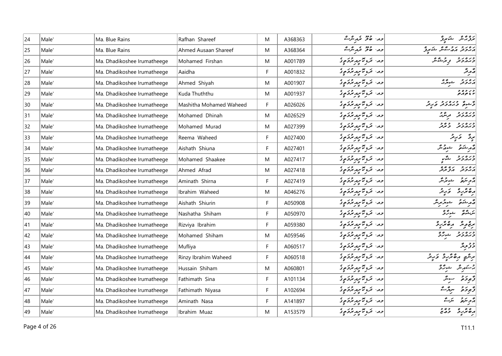| 24 | Male' | Ma. Blue Rains              | Rafhan Shareef          | M  | A368363 | בגי שיב יבגיעה                                                                                                                                                                                                                  | بروبر شریدو                                         |
|----|-------|-----------------------------|-------------------------|----|---------|---------------------------------------------------------------------------------------------------------------------------------------------------------------------------------------------------------------------------------|-----------------------------------------------------|
| 25 | Male' | Ma. Blue Rains              | Ahmed Ausaan Shareef    | M  | A368364 | בגי שיב יבגיעה                                                                                                                                                                                                                  | ره رو رو عمد شمیره                                  |
| 26 | Male' | Ma. Dhadikoshee Irumatheege | Mohamed Firshan         | M  | A001789 | در من مسر در در در استاده در استاده بود.<br>مسر مسر مسیر مسر در سور در استاده بود.                                                                                                                                              | ورەرو وچشگر                                         |
| 27 | Male' | Ma. Dhadikoshee Irumatheege | Aaidha                  | F  | A001832 | در نروت <sup>پر</sup> برم <sup>ور</sup> وی                                                                                                                                                                                      | پر<br>مرمر                                          |
| 28 | Male' | Ma. Dhadikoshee Irumatheege | Ahmed Shiyah            | M  | A001907 | حەر، ئېرو تېرىم تېرىپ ئ                                                                                                                                                                                                         | ره رو شودگر<br>درگرونر شودگریر                      |
| 29 | Male' | Ma. Dhadikoshee Irumatheege | Kuda Thuththu           | M  | A001937 | حەر، ئېرو تېرىم تېرىكى تەرىجە ئ                                                                                                                                                                                                 | 505/5                                               |
| 30 | Male' | Ma. Dhadikoshee Irumatheege | Mashitha Mohamed Waheed | F  | A026026 | در نروت <sup>پر</sup> برم <sup>ور</sup> و <sup>ی</sup>                                                                                                                                                                          | و شوه وره دو د برد                                  |
| 31 | Male' | Ma. Dhadikoshee Irumatheege | Mohamed Dhinah          | M  | A026529 | در نروت <sup>پر</sup> برم <sup>ور</sup> وی                                                                                                                                                                                      | ورەرو مرش                                           |
| 32 | Male' | Ma. Dhadikoshee Irumatheege | Mohamed Murad           | M  | A027399 | ور. مروسم مدير مرد و د                                                                                                                                                                                                          | و به و<br>و بوتر<br>و ره ر د<br>تر پر ژنر           |
| 33 | Male' | Ma. Dhadikoshee Irumatheege | Reema Waheed            | F  | A027400 | در نروت <sup>پر</sup> برم <sup>ور</sup> و <sup>ی</sup>                                                                                                                                                                          | يردُّ = حَ برِ تَرْ                                 |
| 34 | Male' | Ma. Dhadikoshee Irumatheege | Aishath Shiuna          | F  | A027401 | در نروی <sub>پر م</sub> رد و ک                                                                                                                                                                                                  | وكرمشكم فسيرورش                                     |
| 35 | Male' | Ma. Dhadikoshee Irumatheege | Mohamed Shaakee         | M  | A027417 | در نرویمبر دیگر دی                                                                                                                                                                                                              | وره رو شگړ                                          |
| 36 | Male' | Ma. Dhadikoshee Irumatheege | Ahmed Afrad             | M  | A027418 | حەر، ئېرو تېرىم تېرىكى تەرىجە ئ                                                                                                                                                                                                 | رەرد رەپەر<br>مەردىس مۇمۇم                          |
| 37 | Male' | Ma. Dhadikoshee Irumatheege | Aminath Shirna          | F  | A027419 | בו ה' בין מיות בבין בי                                                                                                                                                                                                          | أأترجع كمستوجر يتكر                                 |
| 38 | Male' | Ma. Dhadikoshee Irumatheege | Ibrahim Waheed          | M  | A046276 | בו ה' בין מיות בבים בי                                                                                                                                                                                                          | أرە ئۆر ئەر ئەر                                     |
| 39 | Male' | Ma. Dhadikoshee Irumatheege | Aishath Shiurin         | F  | A050908 | حەر، ئېرو تېرىم تېرىكى ئىستىدىكى ئىستان ئىستان ئىستان ئىستان ئىستان ئىستان ئىستان ئىستان ئىستان ئىستان ئىستان<br>مەنبەل ئىستان ئىستان ئىستان ئىستان ئىستان ئىستان ئىستان ئىستان ئىستان ئىستان ئىستان ئىستان ئىستان ئىستان ئىستا | پھر مشور<br>م<br>ے ہ <sup>و</sup> بر بٹر<br>ے       |
| 40 | Male' | Ma. Dhadikoshee Irumatheege | Nashatha Shiham         | F. | A050970 | حەر، ئېرو تېرىم تېرىم ئېرى<br>مەن ئېرىم تېرىم تېرىم تېرى                                                                                                                                                                        | $\mathcal{L}$ , $\mathcal{L}$                       |
| 41 | Male' | Ma. Dhadikoshee Irumatheege | Rizviya Ibrahim         | F  | A059380 | حەر، ئېرو تېرىم تېرىكى ئىستادىيە ئىستادىيە ئىستادىيە ئىستادىيە ئىستادىيە ئىستادىيە ئىستادىيە ئىستادىيە ئىستادى<br>ئىستادىيە                                                                                                     | ە ھەترىر ۋ<br>ىر چ <sub>ى</sub> ھ <sub>ە</sub> پەڭر |
| 42 | Male' | Ma. Dhadikoshee Irumatheege | Mohamed Shiham          | M  | A059546 |                                                                                                                                                                                                                                 | و رە ر د<br>تر پر تر تر<br>ے رگڑ                    |
| 43 | Male' | Ma. Dhadikoshee Irumatheege | Mufliya                 | F  | A060517 | حەر، ئېرو تېرىم تېرىپ ئ                                                                                                                                                                                                         | ووجهر                                               |
| 44 | Male' | Ma. Dhadikoshee Irumatheege | Rinzy Ibrahim Waheed    | F  | A060518 | وړ٠ تروم مرمر ور د ،<br>در٠ تروم مرمر مرح                                                                                                                                                                                       | برشي و. پر تر و کرد                                 |
| 45 | Male' | Ma. Dhadikoshee Irumatheege | Hussain Shiham          | M  | A060801 | در نروی <sub>چ</sub> ر در در د                                                                                                                                                                                                  |                                                     |
| 46 | Male' | Ma. Dhadikoshee Irumatheege | Fathimath Sina          | F  | A101134 | ور. مروم مهر برد و ه<br>در مروم مهر                                                                                                                                                                                             | أوجوحه سويتر                                        |
| 47 | Male' | Ma. Dhadikoshee Irumatheege | Fathimath Niyasa        | F  | A102694 | حەر، ئېرو تېرىم تېرىكى ئىستىدىكى ئىستان ئىستان ئىستان ئىستان ئىستان ئىستان ئىستان ئىستان ئىستان ئىستان ئىستان<br>مەنبەل ئىستان ئىستان ئىستان ئىستان ئىستان ئىستان ئىستان ئىستان ئىستان ئىستان ئىستان ئىستان ئىستان ئىستان ئىستا | سرتزسته<br>و مرد د<br>اقرامو حام                    |
| 48 | Male' | Ma. Dhadikoshee Irumatheege | Aminath Nasa            | F. | A141897 | در نروی <sub>پر م</sub> رد و                                                                                                                                                                                                    | أثرجه منزه<br>ىئەت                                  |
| 49 | Male' | Ma. Dhadikoshee Irumatheege | Ibrahim Muaz            | M  | A153579 | وړ٠ تر و تر پر پر د ه و د                                                                                                                                                                                                       | دە ئەر دەر                                          |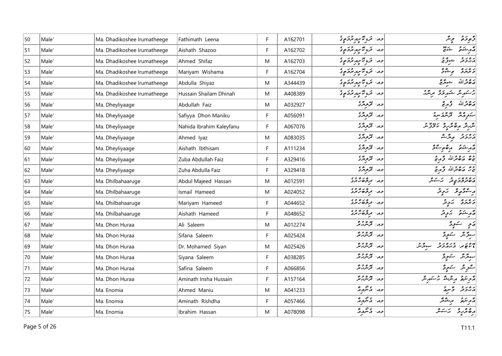| 50 | Male' | Ma. Dhadikoshee Irumatheege | Fathimath Leena          | F           | A162701 | در گرون <sup>د</sup> برم <sup>ور</sup> وی      | ۇ <sub>ج</sub> ودۇ مېتر                   |
|----|-------|-----------------------------|--------------------------|-------------|---------|------------------------------------------------|-------------------------------------------|
| 51 | Male' | Ma. Dhadikoshee Irumatheege | Aishath Shazoo           | F           | A162702 | حەر ئىروم مەم مەدىرە ئى<br>مەن ئىرىم ئىر       | و گهر شک <sup>و</sup>                     |
| 52 | Male' | Ma. Dhadikoshee Irumatheege | Ahmed Shifaz             | M           | A162703 | در. مگروم مهر برد ده د                         | رەرد شوق<br><mark>ە</mark> ردونر شوق      |
| 53 | Male' | Ma. Dhadikoshee Irumatheege | Mariyam Wishama          | F           | A162704 | حەر، ئېرە ئېزىر بېرى ئې                        | رەرە ھىشۇ                                 |
| 54 | Male' | Ma. Dhadikoshee Irumatheege | Abdulla Shiyaz           | M           | A344439 | در گرون <sup>د</sup> برم <sup>ور</sup> وی      | برة قرالله خورمج                          |
| 55 | Male' | Ma. Dhadikoshee Irumatheege | Hussain Shailam Dhinah   | M           | A408389 | כו. על מתומכתים                                | برحكرها الحكرى والراجر                    |
| 56 | Male' | Ma. Dheyliyaage             | Abdullah Faiz            | M           | A032927 | وړ٠ ترومره<br>_                                | أرة قرالله قرمريم                         |
| 57 | Male' | Ma. Dheyliyaage             | Safiyya Dhon Maniku      | $\mathsf F$ | A056091 | وړ٠ تر د پر                                    | התנה"ל ביסגית                             |
| 58 | Male' | Ma. Dheyliyaage             | Nahida Ibrahim Kaleyfanu | F           | A067076 | دړ٠ تر پر پر په                                | تررقه ماه الملح المعادية                  |
| 59 | Male' | Ma. Dheyliyaage             | Ahmed Iyaz               | M           | A083035 | وړ٠ تر د پر                                    | גפיק התביב                                |
| 60 | Male' | Ma. Dheyliyaage             | Aishath Ibthisam         | F           | A111234 | وړ٠ تر پر پر                                   | وكرمشق رەموسى                             |
| 61 | Male' | Ma. Dheyliyaage             | Zuba Abdullah Faiz       | $\mathsf F$ | A329416 | در نئروژنگ                                     | ىم قە ئەھەراللە ئۇم تو                    |
| 62 | Male' | Ma. Dheyliyaage             | Zuha Abdulla Faiz        | $\mathsf F$ | A329418 | وړ کرونرو                                      | حيحته وكالحدة وتحريج                      |
| 63 | Male' | Ma. Dhilbahaaruge           | Abdul Majeed Hassan      | M           | A012591 | כו. תבסמיבי                                    | ره وه د په برگرمگر<br>مان مورد په برگرمگر |
| 64 | Male' | Ma. Dhilbahaaruge           | Ismail Hameed            | M           | A024052 | כו. תיכום <i>ב</i> יב                          | ر شۇرگى ئەدىر                             |
| 65 | Male' | Ma. Dhilbahaaruge           | Mariyam Hameed           | $\mathsf F$ | A044652 | وړ وره ده<br>وړ ورځار ده                       | כמתכ גבת                                  |
| 66 | Male' | Ma. Dhilbahaaruge           | Aishath Hameed           | F           | A048652 | وړ٠ ترڅه <i>زه د</i> ٠<br>دړ٠ ترڅه <i>ز</i> بر | و ديگر ديگر ديگر<br>محمد شوه سال ديگر     |
| 67 | Male' | Ma. Dhon Huraa              | Ali Saleem               | M           | A012274 | وړ . ترس <i>رر پر</i>                          | ړنو سکوه                                  |
| 68 | Male' | Ma. Dhon Huraa              | Sifana Saleem            | F           | A025424 | وړ٠ ترس <i>رب</i> ر                            | سۇ ئىر                                    |
| 69 | Male' | Ma. Dhon Huraa              | Dr. Mohamed Siyan        | M           | A025426 | وړ٠ ترسر <i>رن</i> و                           | איש כנסני האת                             |
| 70 | Male' | Ma. Dhon Huraa              | Siyana Saleem            | $\mathsf F$ | A038285 | وړ . ترس <i>رر پر</i>                          | ہوشر کوو                                  |
| 71 | Male' | Ma. Dhon Huraa              | Safina Saleem            | F           | A066856 | وړ کورونو دي.<br>وړ توس <i>ور</i> نو           | ستوبتر   سنودة                            |
| 72 | Male' | Ma. Dhon Huraa              | Aminath Insha Hussain    | $\mathsf F$ | A157164 | وړ٠ تر <i>مرد پ</i> ر                          | أأدين المراكب المسكر                      |
| 73 | Male' | Ma. Enomia                  | Ahmed Maniu              | M           | A041233 | وە ب <sup>ە م</sup> ىر <i>د</i> ۇ              | גם ג' ב"ינה                               |
| 74 | Male' | Ma. Enomia                  | Aminath Rishdha          | F           | A057466 | בו היית                                        | ۇ ئىرىمۇ ھېرىشى تۈ                        |
| 75 | Male' | Ma. Enomia                  | Ibrahim Hassan           | M           | A078098 | בו. ה"תבה"                                     | رەنزىرو بەسەر                             |
|    |       |                             |                          |             |         |                                                |                                           |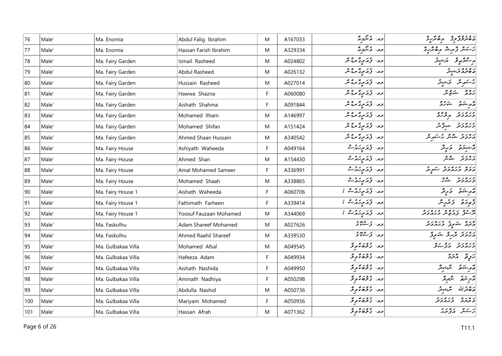| 76  | Male' | Ma. Enomia         | Abdul Falig Ibrahim    | M           | A167033 | در، گم شجرهٔ                      | ره ده ده ده نگرد                                            |
|-----|-------|--------------------|------------------------|-------------|---------|-----------------------------------|-------------------------------------------------------------|
| 77  | Male' | Ma. Enomia         | Hassan Farish Ibrahim  | M           | A329334 | احه منعرة                         | يُرَسُوسُ وَيُعْرِثُ الْمُصَغَّرِينَ                        |
| 78  | Male' | Ma. Fairy Garden   | Ismail Rasheed         | M           | A024802 | دە.، زۇرىپرى ئىدى بىر             | برحۇم ئەسىم                                                 |
| 79  | Male' | Ma. Fairy Garden   | Abdul Rasheed          | M           | A026132 | دە.، ئۇرىمبۇ ئەرقىمىدى بىر        | ره وه در .<br>در ه ترور تر شونر                             |
| 80  | Male' | Ma. Fairy Garden   | Hussain Rasheed        | M           | A027014 | در زم پر در د                     |                                                             |
| 81  | Male' | Ma. Fairy Garden   | Hawwa Shazna           | $\mathsf F$ | A060080 | כו <i>י: ל</i> א <i>איב אי</i> שי | رەپ شەھ شە                                                  |
| 82  | Male' | Ma. Fairy Garden   | Aishath Shahma         | F           | A091844 | دە <sub>:</sub> زېمبردگروما       | وكرم شكوم الشورائر                                          |
| 83  | Male' | Ma. Fairy Garden   | Mohamed Ilham          | M           | A146997 | <i>دە. ۋە ئېرىگى</i> رىم          | ورەرو مەدە                                                  |
| 84  | Male' | Ma. Fairy Garden   | Mohamed Shifan         | M           | A151424 | <i>دە. ۋە ئېرىگى</i> رىم          | ورەرو جۇنىر                                                 |
| 85  | Male' | Ma. Fairy Garden   | Ahmed Shaan Hussain    | M           | A340542 | <i>ەم زەئبرىگى</i> ئىگە           | رورو ڪس پرڪره                                               |
| 86  | Male' | Ma. Fairy House    | Ashiyath Waheeda       | F           | A049164 | دە.، ئۇمەسپرىمەت                  | أراشويرة وكالميقر                                           |
| 87  | Male' | Ma. Fairy House    | Ahmed Shan             | M           | A154430 | دە.، زۇر ئېرىزە م                 | رەر ئەشر                                                    |
| 88  | Male' | Ma. Fairy House    | Amal Mohamed Sameer    | F           | A336991 | در زم پر ده                       | أردو ورودو كوير                                             |
| 89  | Male' | Ma. Fairy House    | Mohamed Shaah          | M           | A338865 | دە. زېئېرىنە م                    | ورەر دەر                                                    |
| 90  | Male' | Ma. Fairy House 1  | Aishath Waheeda        | F           | A060706 | حەر، ئۇم ئېرىكە 1                 | أشهر مشكم وكالمحاجز                                         |
| 91  | Male' | Ma. Fairy House 1  | Fathimath Farheen      | $\mathsf F$ | A339414 | حەر، ئۇم ئويرىدۇر 1               | أزجوحهم وتمريده                                             |
| 92  | Male' | Ma. Fairy House 1  | Yoosuf Fauzaan Mohamed | M           | A344069 | حەر، ئۇم ئېرىكە 2-1               | מ כם גבשם כגםגב<br>ת—تو צהשית כגהכת                         |
| 93  | Male' | Ma. Faskolhu       | Adam Shareef Mohamed   | M           | A027626 | حەر بۇ شەيدۇ                      | أرود كالمرد وره رو                                          |
| 94  | Male' | Ma. Faskolhu       | Ahmed Raahil Shareef   | M           | A339530 | حەر، بۇ سىملار                    | ړه د ته پر د ځېږ                                            |
| 95  | Male' | Ma. Gulbakaa Villa | Mohamed Afsal          | M           | A049545 | دە بىرە ئوق                       | כנסנכ נסגם<br>כגובת ונצייב                                  |
| 96  | Male' | Ma. Gulbakaa Villa | Hafeeza Adam           | F           | A049934 | وړ٠ ده٠ده تروڅ                    | پَرۡ پِمۡ ٱ ٱ ٱ ٱ ٱ ٱ ٱ ٱ ٱ ٱ                               |
| 97  | Male' | Ma. Gulbakaa Villa | Aishath Nashida        | $\mathsf F$ | A049950 | وړ٠ د ده نونو                     | أقدم مشعق التكر مشوقر                                       |
| 98  | Male' | Ma. Gulbakaa Villa | Aminath Nadhiya        | F           | A050298 | در وورو وغ                        | أأوسكا المتراكر                                             |
| 99  | Male' | Ma. Gulbakaa Villa | Abdulla Nashid         | M           | A050736 | وړ٠ وگو <i>ه</i> تونځ             | مَ صَحْرَاللّه سَّرَسُوتَر                                  |
| 100 | Male' | Ma. Gulbakaa Villa | Mariyam Mohamed        | F           | A050936 | وړ٠ د وه نونو                     | و ر ه ر د<br>تر پر ژ تر<br>ر ه بر ه<br><del>ر</del> بر بر و |
| 101 | Male' | Ma. Gulbakaa Villa | Hassan Afrah           | M           | A071362 | دە بىرە ئوق                       | برسەش مەۋىرر                                                |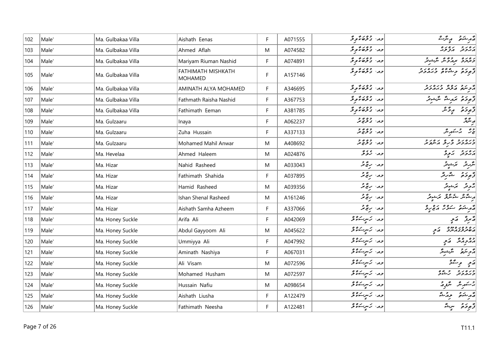| 102 | Male' | Ma. Gulbakaa Villa | Aishath Eenas                        | F           | A071555 | در وه ده نوځ             | أقمر يشكون ويترب                                                                                              |
|-----|-------|--------------------|--------------------------------------|-------------|---------|--------------------------|---------------------------------------------------------------------------------------------------------------|
| 103 | Male' | Ma. Gulbakaa Villa | Ahmed Aflah                          | M           | A074582 | در ۱۵۶۰ و تر             | رەر رەرە                                                                                                      |
| 104 | Male' | Ma. Gulbakaa Villa | Mariyam Riuman Nashid                | F           | A074891 | دەر، دوھەتموڭر           | ו 2010 במיט הייני                                                                                             |
| 105 | Male' | Ma. Gulbakaa Villa | FATHIMATH MISHKATH<br><b>MOHAMED</b> | F           | A157146 | درې د ده نورځ            | و د د مشرعه دره د د                                                                                           |
| 106 | Male' | Ma. Gulbakaa Villa | AMINATH ALYA MOHAMED                 | F           | A346695 | در وورځ وځ               | و مرد ده وره دد                                                                                               |
| 107 | Male' | Ma. Gulbakaa Villa | Fathmath Raisha Nashid               | F.          | A367753 | دە بە دەر بۇ ئە          | قُرُوحِ مَدِيشٌ مُرْسُومٌ                                                                                     |
| 108 | Male' | Ma. Gulbakaa Villa | Fathimath Eeman                      | F           | A381785 | وړ وه ده کونځ            | توجوخوا برځند                                                                                                 |
| 109 | Male' | Ma. Gulzaaru       | Inaya                                | $\mathsf F$ | A062237 | وه کوي د<br>وه کوي       | ويتند                                                                                                         |
| 110 | Male' | Ma. Gulzaaru       | Zuha Hussain                         | F           | A337133 | وړ کويځ بر<br>وړ کويځ بر | المح من مسكور محمد المحمد المحمد المحمد المحمد المحمد المحمد المحمد المحمد المحمد المحمد المحمد المحمد المحمد |
| 111 | Male' | Ma. Gulzaaru       | Mohamed Mahil Anwar                  | M           | A408692 | وړ٠ ونوي تر              | ورەر د برو رەرد                                                                                               |
| 112 | Male' | Ma. Hevelaa        | Ahmed Haleem                         | M           | A024876 | وړ کونځ                  | أرور والملحفية                                                                                                |
| 113 | Male' | Ma. Hizar          | Nahid Rasheed                        | M           | A033043 | حەر، سەنجىم              | مُرْسِرة مُسْتَسِيرة مِنْ                                                                                     |
| 114 | Male' | Ma. Hizar          | Fathimath Shahida                    | F.          | A037895 | وړ رځ تر                 | أُوَّ مِرْحَمْ مُتَّارِيْرَ                                                                                   |
| 115 | Male' | Ma. Hizar          | Hamid Rasheed                        | M           | A039356 | وړ رځ تر                 | أترجو تمر يمر المحمد                                                                                          |
| 116 | Male' | Ma. Hizar          | Ishan Shenal Rasheed                 | M           | A161246 | دە. رىج تر               | رىقىش ئىقىرى كرى <u>م</u> وتر                                                                                 |
| 117 | Male' | Ma. Hizar          | Aishath Samha Azheem                 | F           | A337066 | دە رىج ئر                | و مرد ده ده ده ده د                                                                                           |
| 118 | Male' | Ma. Honey Suckle   | Arifa Ali                            | F           | A042069 | ور. رکس منظم             | ەئىمىرق مەم                                                                                                   |
| 119 | Male' | Ma. Honey Suckle   | Abdul Gayyoom Ali                    | M           | A045622 | در ۱۰ کېږېده و           | גם כם גם כבם .<br>גם בתיבה בב . גליב                                                                          |
| 120 | Male' | Ma. Honey Suckle   | Ummiyya Ali                          | F           | A047992 | دە . ئەيرىسىمى           | ده وره په د                                                                                                   |
| 121 | Male' | Ma. Honey Suckle   | Aminath Nashiya                      | F           | A067031 | وە . ئەر <i>بىدى</i> 2   |                                                                                                               |
| 122 | Male' | Ma. Honey Suckle   | Ali Visam                            | M           | A072596 | دە . ئەربىئە 2 گە        | أرشم وستهى                                                                                                    |
| 123 | Male' | Ma. Honey Suckle   | Mohamed Husham                       | M           | A072597 | دە . ئەربىئە 2 گە        | ورەرو ويۇھ                                                                                                    |
| 124 | Male' | Ma. Honey Suckle   | Hussain Nafiu                        | M           | A098654 | دە ئىرىسى قو             | 2سىرىش مىترقى                                                                                                 |
| 125 | Male' | Ma. Honey Suckle   | Aishath Liusha                       | F           | A122479 | دە ئىرىسى ۋە             | أقهر شكافه المحرار شكر                                                                                        |
| 126 | Male' | Ma. Honey Suckle   | Fathimath Neesha                     | F           | A122481 | دە. ئېرىكتەۋ             | أَوَّ جِوحَمْ مِنْ سِنَّةٌ                                                                                    |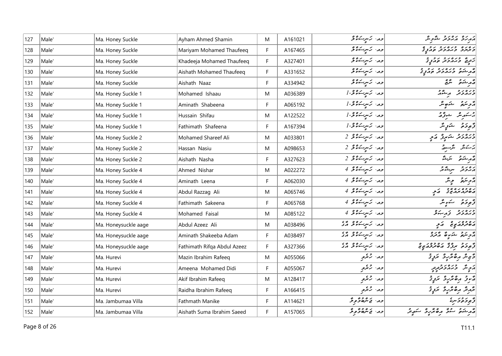| 127 | Male' | Ma. Honey Suckle     | Ayham Ahmed Shamin          | M           | A161021 | دړ. رئيږ شرو و          | أتهركز أتركز والمحرم                     |
|-----|-------|----------------------|-----------------------------|-------------|---------|-------------------------|------------------------------------------|
| 128 | Male' | Ma. Honey Suckle     | Mariyam Mohamed Thaufeeq    | F           | A167465 | دە. ئەيرىسىدە ئ         | ر ور و درور و رو و<br>حرمرد دبه دم وړنږ  |
| 129 | Male' | Ma. Honey Suckle     | Khadeeja Mohamed Thaufeeq   | F           | A327401 | دە. ئەيرىسىمى           | دَرِيعٌ - دَبَر مَرْدَ - مَ مَ مِرْدٍ وَ |
| 130 | Male' | Ma. Honey Suckle     | Aishath Mohamed Thaufeeq    | F           | A331652 | دە. ئەربەئەتر           | ה היינים במחכת הרבה                      |
| 131 | Male' | Ma. Honey Suckle     | Aishath Naaz                | $\mathsf F$ | A334942 | دړ. رئېږېده و           | وأوسنتمو الثرج                           |
| 132 | Male' | Ma. Honey Suckle 1   | Mohamed Ishaau              | M           | A036389 | دە. ئىرىنگىمى-1         | ورەرو بەشە                               |
| 133 | Male' | Ma. Honey Suckle 1   | Aminath Shabeena            | $\mathsf F$ | A065192 | دە. ئەيرىسكىڭ 1-3       | أأدحر سكو المستحر وستر                   |
| 134 | Male' | Ma. Honey Suckle 1   | Hussain Shifau              | M           | A122522 | دە. ئەيرىسكەنلى-1       | رحم شهر مشر <i>وق</i> ه<br>مستور مشرور   |
| 135 | Male' | Ma. Honey Suckle 1   | Fathimath Shafeena          | F           | A167394 | ور. ئىرىكە2 <i>\$-1</i> | أَرْجُوحَ حُمَّ إِسَّرَ                  |
| 136 | Male' | Ma. Honey Suckle 2   | Mohamed Shareef Ali         | M           | A033801 | دە، ئىرىنىڭ 2           | ورەرو خىيۇ كېي                           |
| 137 | Male' | Ma. Honey Suckle 2   | Hassan Nasiu                | M           | A098653 | دە. ئىرىسىمى 2-2        | پرستمبر مترسور                           |
| 138 | Male' | Ma. Honey Suckle 2   | Aishath Nasha               | F           | A327623 | دە. زىرىنىڭ 2           | أقرم شرقه الكريشة                        |
| 139 | Male' | Ma. Honey Suckle 4   | Ahmed Nishar                | M           | A022272 | دە· ئىرىتىقى 4          | رەرد سرشەر                               |
| 140 | Male' | Ma. Honey Suckle 4   | Aminath Leena               | F           | A062030 | دە. ئىرىسىمى 4          | ړٌ د سَهُ پِسٌر                          |
| 141 | Male' | Ma. Honey Suckle 4   | Abdul Razzag Ali            | M           | A065746 | دە. ئىرىسكىمى 4         | גם כם גם גב<br>השינו מגדים ב             |
| 142 | Male' | Ma. Honey Suckle 4   | Fathimath Sakeena           | F           | A065768 | دە. ئىرىسكەنگە 4        | ۇچ <sub>و</sub> چۇ سىرىتى                |
| 143 | Male' | Ma. Honey Suckle 4   | Mohamed Faisal              | M           | A085122 | دە· ئىرىتىقى 4          | ورەرو تەرىئى                             |
| 144 | Male' | Ma. Honeysuckle aage | Abdul Azeez Ali             | M           | A038496 | در کېږېدو دی            | رە دەرى ئەي                              |
| 145 | Male' | Ma. Honeysuckle aage | Aminath Shakeeba Adam       | F           | A038497 | دە. ئەيرىسىمى ئ         | أأدينهم خريرة أأزده                      |
| 146 | Male' | Ma. Honeysuckle aage | Fathimath Rifqa Abdul Azeez | F           | A327366 | در کیږے لای دی          | ر و د و بروژ ماه دوم پا                  |
| 147 | Male' | Ma. Hurevi           | Mazin Ibrahim Rafeeq        | M           | A055066 | در به رقبو              | د سماه معرض مربو                         |
| 148 | Male' | Ma. Hurevi           | Ameena Mohamed Didi         | F           | A055067 | در به رقبو              | أرَوٍ شُرِ وَبَرْمُ وَتَرْتَزِيرِ        |
| 149 | Male' | Ma. Hurevi           | Akif Ibrahim Rafeeq         | M           | A128417 | در به رقبو              | ړ ده پره پرو ټرو ته                      |
| 150 | Male' | Ma. Hurevi           | Raidha Ibrahim Rafeeq       | F           | A166415 | در. رُنگو               | ترمر معتبره ترويح                        |
| 151 | Male' | Ma. Jambumaa Villa   | Fathmath Manike             | F           | A114621 | وړ٤٠ متره ژونژ          | ۇ بو خەم خەسرىئە                         |
| 152 | Male' | Ma. Jambumaa Villa   | Aishath Suma Ibrahim Saeed  | F           | A157065 | وړ٤٠ متره ژونژ          | أمر منعدة المتحدث والمحرمة               |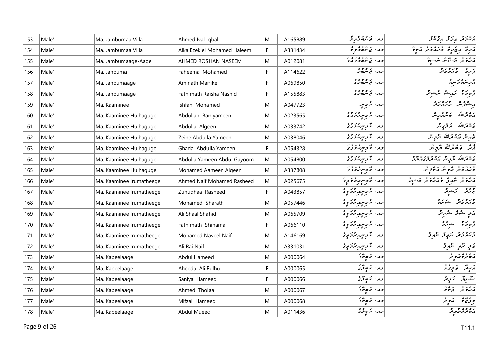| 153 | Male' | Ma. Jambumaa Villa       | Ahmed Ival Iqbal            | M  | A165889 | وړ٤ سمه څو څر                                                                                                                                 | أزود و و و و و و ه و                                           |
|-----|-------|--------------------------|-----------------------------|----|---------|-----------------------------------------------------------------------------------------------------------------------------------------------|----------------------------------------------------------------|
| 154 | Male' | Ma. Jambumaa Villa       | Aika Ezekiel Mohamed Haleem | F. | A331434 | ورستے سی ڈویگر                                                                                                                                | أأرث رئي و و و و و د و بر دو                                   |
| 155 | Male' | Ma. Jambumaage-Aage      | <b>AHMED ROSHAN NASEEM</b>  | M  | A012081 | $\begin{array}{cc} \mathcal{C}\neq \mathcal{C}\neq 0 & \mathcal{D}\geq 0 \ \mathcal{S}\neq \mathcal{S}\neq 0 & \mathcal{S}\neq 0 \end{array}$ | رەر يې ئەر سكەن كە                                             |
| 156 | Male' | Ma. Janbuma              | Faheema Mohamed             | F  | A114622 | وړ کے سماجو                                                                                                                                   | و رە ر د<br><i>د ب</i> رگەنز<br>تورٍ پیچ                       |
| 157 | Male' | Ma. Janbumaage           | Aminath Manike              | F  | A069850 | ر ه د د ه<br>د د خ سرح د د                                                                                                                    | ۇ جە سىھ جە سرىئا                                              |
| 158 | Male' | Ma. Janbumaage           | Fathimath Raisha Nashid     | F  | A155883 | ر ه د د د د<br>ور ۰ نے سرح د د                                                                                                                | توجوخا المراكب المراكب                                         |
| 159 | Male' | Ma. Kaaminee             | Ishfan Mohamed              | M  | A047723 | —<br>إحداث تقويبها                                                                                                                            | م شورٌ شهر در در د                                             |
| 160 | Male' | Ma. Kaaminee Hulhaguge   | Abdullah Baniyameen         | M  | A023565 | وړ٠ نۀ د سرچر ده<br>در٠ نۀ د سرچر ده                                                                                                          | رە قراللە خەمگرىچە                                             |
| 161 | Male' | Ma. Kaaminee Hulhaguge   | Abdulla Algeen              | M  | A033742 | وړ٠ نۀ د سربر ور و ،<br>در ۱۰ نۀ د سربر ور و ،                                                                                                | برە قراللە برويە م                                             |
| 162 | Male' | Ma. Kaaminee Hulhaquqe   | Zeine Abdulla Yameen        | M  | A038046 | وړ٠ نۀ د سربر ور ور<br>در ۱۰ نۀ د سربر ور ور                                                                                                  | تج مريكر وكافاتلله وتزجر ينكر                                  |
| 163 | Male' | Ma. Kaaminee Hulhaguge   | Ghada Abdulla Yameen        | F  | A054328 | وړ٠ نۀ د سربر وره                                                                                                                             | قَدَّقَهُ صَدَّدَاللَّهُ مُرَّحِ مَّر                          |
| 164 | Male' | Ma. Kaaminee Hulhaguge   | Abdulla Yameen Abdul Gayoom | M  | A054800 | دړ٠ لم تو سرچر د ٢<br>                                                                                                                        | ره و الله مرکز مره وه بره دوه<br>مصر الله مرکز مرکز مرکز مرکز  |
| 165 | Male' | Ma. Kaaminee Hulhaguge   | Mohamed Aameen Algeen       | M  | A337808 | בגי עקבייקו גבב<br>בגי עקבייקו גבב                                                                                                            | ورەرو مېر مكونې م                                              |
| 166 | Male' | Ma. Kaaminee Irumatheege | Ahmed Naif Mohamed Rasheed  | M  | A025675 | وړ٠ پام سر پروتولو<br>در پام سر پروتولو                                                                                                       | י פי כ"פ"ס כי פי כ"כ"ס בית המייבית.<br>המכת ייתק כמהכת המייבית |
| 167 | Male' | Ma. Kaaminee Irumatheege | Zuhudhaa Rasheed            | F  | A043857 | وړ٠ تۀ د سرمه ټرخو <sub>م</sub> و                                                                                                             | ج رحمہ کر سومر                                                 |
| 168 | Male' | Ma. Kaaminee Irumatheege | Mohamed Sharath             | M  | A057446 | בו. י"כ ייטי יברים ב                                                                                                                          | وره رو در دو<br><i>وبرو د</i> ر شوبره                          |
| 169 | Male' | Ma. Kaaminee Irumatheege | Ali Shaal Shahid            | M  | A065709 | وړ٠ تۀ د سر پر د ه د و<br>د ۱۸ تۀ د په بر                                                                                                     | أَمَرِ وَاللَّهِ وَاللَّهِ وَاللَّهِ                           |
| 170 | Male' | Ma. Kaaminee Irumatheege | Fathimath Shihama           | F  | A066110 | בו י"כ ייט ילכים ל<br>בו י"כ ייט ילכים                                                                                                        | ۇي <sub>ۇ</sub> رۇ ھو <i>رۇ</i>                                |
| 171 | Male' | Ma. Kaaminee Irumatheege | Mohamed Naveel Naif         | M  | A146169 | בו י"ב ייטי יבבים ב                                                                                                                           | ورەرو ئىھ ئىگەر                                                |
| 172 | Male' | Ma. Kaaminee Irumatheege | Ali Rai Naif                | M  | A331031 | وړ٠ تۀ د سرمه ترخه و د                                                                                                                        | ړَ په شرو                                                      |
| 173 | Male' | Ma. Kabeelaage           | Abdul Hameed                | M  | A000064 | وړ٠ مَه وُدَ                                                                                                                                  | ره وه در<br>د ه تروپر و تر                                     |
| 174 | Male' | Ma. Kabeelaage           | Aheeda Ali Fulhu            | F  | A000065 | وړ که غړی                                                                                                                                     | ړ په په دول                                                    |
| 175 | Male' | Ma. Kabeelaage           | Saniya Hameed               | F  | A000066 | وړ٠ مَهڅو                                                                                                                                     | سەس ئەچە                                                       |
| 176 | Male' | Ma. Kabeelaage           | Ahmed Tholaal               | M  | A000067 | وړ٠ مَهڅو                                                                                                                                     | ره ر د روه<br>پررونر بوگر                                      |
| 177 | Male' | Ma. Kabeelaage           | Mifzal Hameed               | M  | A000068 | وړ٠ موځۍ                                                                                                                                      | ووځو په ډېر                                                    |
| 178 | Male' | Ma. Kabeelaage           | <b>Abdul Mueed</b>          | M  | A011436 | בו. מסיבב                                                                                                                                     | ر ه د ه د په تر<br>مان مرکز د په تر                            |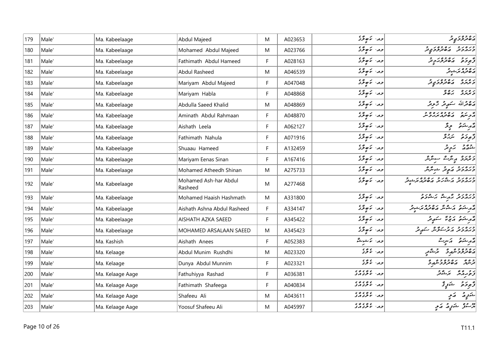| 179 | Male' | Ma. Kabeelaage   | Abdul Majeed                     | M           | A023653 | دړ· مأجونځو                                                                                                                                                                                                                                                                                                                                                                                                                                                                                                                                                                                                                                                                    | ر ٥ و ٥ و ر<br>مەھەر ترىخ تىر                                          |
|-----|-------|------------------|----------------------------------|-------------|---------|--------------------------------------------------------------------------------------------------------------------------------------------------------------------------------------------------------------------------------------------------------------------------------------------------------------------------------------------------------------------------------------------------------------------------------------------------------------------------------------------------------------------------------------------------------------------------------------------------------------------------------------------------------------------------------|------------------------------------------------------------------------|
| 180 | Male' | Ma. Kabeelaage   | Mohamed Abdul Majeed             | M           | A023766 | وړ· مَاه دځ                                                                                                                                                                                                                                                                                                                                                                                                                                                                                                                                                                                                                                                                    | ور ه ر و بره وه ر و<br><i>و پروونډ پره تر څرو</i> تو تر                |
| 181 | Male' | Ma. Kabeelaage   | Fathimath Abdul Hameed           | F           | A028163 | وړ· مَاه دي                                                                                                                                                                                                                                                                                                                                                                                                                                                                                                                                                                                                                                                                    | قه ده ده ده ده د                                                       |
| 182 | Male' | Ma. Kabeelaage   | Abdul Rasheed                    | M           | A046539 | בו. מסיבב                                                                                                                                                                                                                                                                                                                                                                                                                                                                                                                                                                                                                                                                      | ره وه ر<br>در ه ترد برشوتر                                             |
| 183 | Male' | Ma. Kabeelaage   | Mariyam Abdul Majeed             | F           | A047048 | وړ٠ م <i>ړي وي</i>                                                                                                                                                                                                                                                                                                                                                                                                                                                                                                                                                                                                                                                             | ر ه ر ه پر د و د بر و<br>د بر رو پر محمد خرج مر                        |
| 184 | Male' | Ma. Kabeelaage   | Mariyam Habla                    | F           | A048868 | בור מסיבב                                                                                                                                                                                                                                                                                                                                                                                                                                                                                                                                                                                                                                                                      | ره ره ده و                                                             |
| 185 | Male' | Ma. Kabeelaage   | Abdulla Saeed Khalid             | M           | A048869 | دە. ئەھ <sup>ۆ</sup> ك                                                                                                                                                                                                                                                                                                                                                                                                                                                                                                                                                                                                                                                         | رەۋىللە سەرپتر شەرتر                                                   |
| 186 | Male' | Ma. Kabeelaage   | Aminath Abdul Rahmaan            | F           | A048870 | دە. ئەھ <sup>ۆ</sup> ك                                                                                                                                                                                                                                                                                                                                                                                                                                                                                                                                                                                                                                                         | د د ده ده ده ده د و                                                    |
| 187 | Male' | Ma. Kabeelaage   | Aishath Leela                    | $\mathsf F$ | A062127 | وړ٠ موځۍ                                                                                                                                                                                                                                                                                                                                                                                                                                                                                                                                                                                                                                                                       | أمار مندة وقي                                                          |
| 188 | Male' | Ma. Kabeelaage   | Fathimath Nahula                 | F           | A071916 | وړ٠ مَه وُدَ                                                                                                                                                                                                                                                                                                                                                                                                                                                                                                                                                                                                                                                                   | وٌ پروژ کررد                                                           |
| 189 | Male' | Ma. Kabeelaage   | Shuaau Hameed                    | $\mathsf F$ | A132459 | دە. ئەھ <sup>ۋ</sup> ك                                                                                                                                                                                                                                                                                                                                                                                                                                                                                                                                                                                                                                                         | ے دور برگے کر                                                          |
| 190 | Male' | Ma. Kabeelaage   | Mariyam Eenas Sinan              | F           | A167416 | وړ٠ موځۍ                                                                                                                                                                                                                                                                                                                                                                                                                                                                                                                                                                                                                                                                       | دەرە پەتر ئاستىر                                                       |
| 191 | Male' | Ma. Kabeelaage   | Mohamed Atheedh Shinan           | M           | A275733 | دە. ئەھ <sup>ۆ</sup> ك                                                                                                                                                                                                                                                                                                                                                                                                                                                                                                                                                                                                                                                         | ورەرو كەرگە ئىرس                                                       |
| 192 | Male' | Ma. Kabeelaage   | Mohamed Ash-har Abdul<br>Rasheed | M           | A277468 | در ، ، ، هو د د                                                                                                                                                                                                                                                                                                                                                                                                                                                                                                                                                                                                                                                                | وره ر و بر ه ر و بره وه د سود.<br>ح بر د حد بر شوبر در بر ه در بر شوند |
| 193 | Male' | Ma. Kabeelaage   | Mohamed Haaish Hashmath          | M           | A331800 | دە. ئۈچچ                                                                                                                                                                                                                                                                                                                                                                                                                                                                                                                                                                                                                                                                       | ورەرو ئەر شەر ئەھرو                                                    |
| 194 | Male' | Ma. Kabeelaage   | Aishath Ashna Abdul Rasheed      | F           | A334147 | دە ، ئەھۋە                                                                                                                                                                                                                                                                                                                                                                                                                                                                                                                                                                                                                                                                     | ه مشوی در ۵ بر ۵ د ۵ در د و<br>مهر شوی در شوش مهام در مر شوند          |
| 195 | Male' | Ma. Kabeelaage   | <b>AISHATH AZKA SAEED</b>        | $\mathsf F$ | A345422 | دە. ئەھ <sup>ۆ</sup> ك                                                                                                                                                                                                                                                                                                                                                                                                                                                                                                                                                                                                                                                         | مەر شىم مى ئام بىر                                                     |
| 196 | Male' | Ma. Kabeelaage   | MOHAMED ARSALAAN SAEED           | M           | A345423 | در ، ، ، ، و ژی                                                                                                                                                                                                                                                                                                                                                                                                                                                                                                                                                                                                                                                                | ورەر دېر دېگرىش سەر تر                                                 |
| 197 | Male' | Ma. Kashish      | Aishath Anees                    | F           | A052383 | د بر ۱۰ کم شوشگر                                                                                                                                                                                                                                                                                                                                                                                                                                                                                                                                                                                                                                                               | وكرمشكم وكالمرس                                                        |
| 198 | Male' | Ma. Kelaage      | Abdul Munim Rushdhi              | M           | A023320 | وړ ، نانوی                                                                                                                                                                                                                                                                                                                                                                                                                                                                                                                                                                                                                                                                     | ره وه و ه ه و و و د<br>پره ترڅر شمېر د سرشونږ                          |
| 199 | Male' | Ma. Kelaage      | Dunya Abdul Munnim               | F           | A023321 | وړ ، نانوی                                                                                                                                                                                                                                                                                                                                                                                                                                                                                                                                                                                                                                                                     | כ ס 4 גם כם כם כם כ                                                    |
| 200 | Male' | Ma. Kelaage Aage | Fathuhiyya Rashad                | F           | A036381 | $\begin{array}{cc} c\mathrel{\mathop{\triangleright}} c\mathrel{\mathop{\triangleleft}} c\mathrel{\mathop{\triangleleft}} c\mathrel{\triangleright} c\mathrel{\triangleright} c\end{array} \cdot \mathop{\mathop{\triangleleft}} \mathop{\mathop{\triangleright}} c\mathop{\mathop{\triangleleft}} c\mathop{\mathop{\triangleleft}} c\mathop{\mathop{\triangleleft}} c\mathop{\mathop{\triangleleft}} c\mathop{\mathop{\triangleleft}} c\mathop{\mathop{\triangleleft}} c\mathop{\mathop{\triangleleft}} c\mathop{\mathop{\triangleleft}} c\mathop{\mathop{\triangleleft}} c\mathop{\mathop{\triangleleft}} c\mathop{\mathop{\triangleleft}} c\mathop{\mathop{\triangleleft}}$ | زوره پر برختر                                                          |
| 201 | Male' | Ma. Kelaage Aage | Fathimath Shafeega               | F           | A040834 | $\begin{array}{cc} c\mathrel{\mathop{\triangle}\!} c\mathrel{\mathop{\triangle}\!} c\mathrel{\mathop{\triangle}\!} c\ & c\mathrel{\mathop{\triangle}\!} c\ & c\mathrel{\mathop{\triangle}\!} c\ & c\mathrel{\mathop{\triangle}\!} c\ & c\mathrel{\mathop{\triangle}\!} c\ & c\mathrel{\mathop{\triangle}\!} c\ & c\mathrel{\mathop{\triangle}\!} c\ & c\mathrel{\mathop{\triangle}\!} c\ & c\mathrel{\mathop{\triangle}\!} c\ & c\mathrel{\mathop{\triangle}\!} c\ & c\mathrel{\mathop{\triangle}\!} c\ & c\mathrel{\mathop{\triangle}\!} c\ & c\mathrel{\mathop{\triangle$                                                                                                    | أرام وكالمحمد والمسكر والمحمد                                          |
| 202 | Male' | Ma. Kelaage Aage | Shafeeu Ali                      | M           | A043611 | $\begin{array}{cc} c\mathrel{\mathop{\triangle}\!} c\mathrel{\mathop{\triangle}\!} c\mathrel{\mathop{\triangle}\!} c\ & c\mathrel{\mathop{\triangle}\!} c\ & c\mathrel{\mathop{\triangle}\!} c\ & c\mathrel{\mathop{\triangle}\!} c\ & c\mathrel{\mathop{\triangle}\!} c\ & c\mathrel{\mathop{\triangle}\!} c\ & c\mathrel{\mathop{\triangle}\!} c\ & c\mathrel{\mathop{\triangle}\!} c\ & c\mathrel{\mathop{\triangle}\!} c\ & c\mathrel{\mathop{\triangle}\!} c\ & c\mathrel{\mathop{\triangle}\!} c\ & c\mathrel{\mathop{\triangle}\!} c\ & c\mathrel{\mathop{\triangle$                                                                                                    | شکور ژ<br>ەكىر                                                         |
| 203 | Male' | Ma. Kelaage Aage | Yoosuf Shafeeu Ali               | M           | A045997 | גי היה היה<br>הרי איב הדי                                                                                                                                                                                                                                                                                                                                                                                                                                                                                                                                                                                                                                                      | در وه عکوچ کرم                                                         |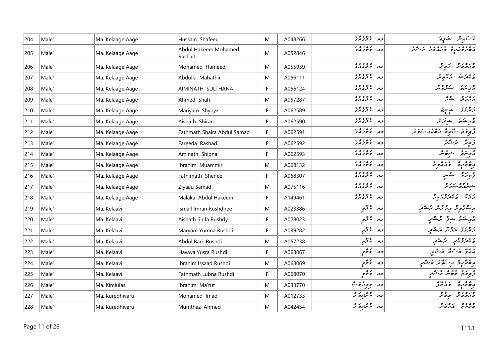| 204 | Male' | Ma. Kelaage Aage | Hussain Shafeeu                | M  | A048266 | $\begin{array}{cc} c\mathrel{\not\circ} c\mathrel{\not\circ} c\mathrel{\not\circ} c\mathrel{\circ} \cdot \mathrel{\rightarrow} c\mathrel{\circ} \cdot \mathrel{\rightarrow} c\mathrel{\rightarrow} c\mathrel{\rightarrow} c\mathrel{\rightarrow} c\mathrel{\rightarrow} c\mathrel{\rightarrow} c\mathrel{\rightarrow} c\mathrel{\rightarrow} c\mathrel{\rightarrow} c\mathrel{\rightarrow} c\mathrel{\rightarrow} c\mathrel{\rightarrow} c\mathrel{\rightarrow} c\mathrel{\rightarrow} c\mathrel{\rightarrow} c\mathrel{\rightarrow} c\mathrel{\rightarrow} c\mathrel{\rightarrow} c\mathrel{\rightarrow} c\mathrel{\rightarrow} c\mathrel{\rightarrow} c\mathrel{\rightarrow} c\mathrel{\rightarrow} c\$ | رحم شكر متكورة                                        |
|-----|-------|------------------|--------------------------------|----|---------|-----------------------------------------------------------------------------------------------------------------------------------------------------------------------------------------------------------------------------------------------------------------------------------------------------------------------------------------------------------------------------------------------------------------------------------------------------------------------------------------------------------------------------------------------------------------------------------------------------------------------------------------------------------------------------------------------------------|-------------------------------------------------------|
| 205 | Male' | Ma. Kelaage Aage | Abdul Hakeem Mohamed<br>Rashad | M  | A052846 | $\begin{array}{cc} 1 & 0 & 0 \\ 0 & 0 & 0 \\ 0 & 0 & 0 \end{array}$                                                                                                                                                                                                                                                                                                                                                                                                                                                                                                                                                                                                                                       | ره وه ره ه وره رو د پرو<br>پرهتروپرېو وبرووتر برشوتر  |
| 206 | Male' | Ma. Kelaage Aage | Mohamed Hameed                 | M  | A055939 | $\begin{array}{cc} 1 & 0 & 0 \\ 0 & 0 & 0 \\ 0 & 0 & 0 \end{array}$                                                                                                                                                                                                                                                                                                                                                                                                                                                                                                                                                                                                                                       | وره رو برود                                           |
| 207 | Male' | Ma. Kelaage Aage | Abdulla Mahathir               | M  | A056111 | $\begin{array}{cc} c\ast c\ast c\\ s\ast s\ast v\end{array} \cdot \pi\mathcal{I}$                                                                                                                                                                                                                                                                                                                                                                                                                                                                                                                                                                                                                         | صقعرالله<br>ىز شەھ بىر                                |
| 208 | Male' | Ma. Kelaage Aage | AIMINATH SULTHANA              | F  | A056124 | esese<br>sassu as                                                                                                                                                                                                                                                                                                                                                                                                                                                                                                                                                                                                                                                                                         | <u>ره و پر پ</u> ر<br>ړڻ سرچ                          |
| 209 | Male' | Ma. Kelaage Aage | Ahmed Shah                     | M  | A057287 | ی دی دی.<br>د در ۱۰ مرد در                                                                                                                                                                                                                                                                                                                                                                                                                                                                                                                                                                                                                                                                                | پروژو<br>ىشترر                                        |
| 210 | Male' | Ma. Kelaage Aage | Mariyam Shynyz                 | F. | A062589 | $\begin{array}{cc} c\mathrel{\mathop{\triangle}\!} c\mathrel{\mathop{\triangle}\!} c\mathrel{\mathop{\triangle}\!} c\ & c\mathrel{\mathop{\triangle}\!} c\ & c\mathrel{\mathop{\triangle}\!} c\ & c\mathrel{\mathop{\triangle}\!} c\ & c\mathrel{\mathop{\triangle}\!} c\ & c\mathrel{\mathop{\triangle}\!} c\ & c\mathrel{\mathop{\triangle}\!} c\ & c\mathrel{\mathop{\triangle}\!} c\ & c\mathrel{\mathop{\triangle}\!} c\ & c\mathrel{\mathop{\triangle}\!} c\ & c\mathrel{\mathop{\triangle}\!} c\ & c\mathrel{\mathop{\triangle}\!} c\ & c\mathrel{\mathop{\triangle$                                                                                                                               | ر ه ر ه<br><del>د</del> بربرگر<br>ے پیدی<br>محمد کا   |
| 211 | Male' | Ma. Kelaage Aage | Aishath Shiran                 | F. | A062590 | $\begin{array}{cc} 0 & 0 & 0 & 0 \\ 0 & 0 & 0 & 0 \\ 0 & 0 & 0 & 0 \end{array}$                                                                                                                                                                                                                                                                                                                                                                                                                                                                                                                                                                                                                           | دگر کر شو کر سر                                       |
| 212 | Male' | Ma. Kelaage Aage | Fathmath Shaira Abdul Samad    | F. | A062591 | $\begin{array}{cc} 1 & 0 & 0 \\ 0 & 0 & 0 \\ 0 & 0 & 0 \end{array}$                                                                                                                                                                                                                                                                                                                                                                                                                                                                                                                                                                                                                                       | ه د د گريگر ده ده در د<br>ژوختو څوړنگر ده تروب دو تر  |
| 213 | Male' | Ma. Kelaage Aage | Fareeda Rashad                 | F. | A062592 | $\begin{array}{cc} c\mathrel{\mathop{\triangle}\!} c\mathrel{\mathop{\triangle}\!} c\mathrel{\mathop{\triangle}\!} c\ & c\mathrel{\mathop{\triangle}\!} c\ & c\mathrel{\mathop{\triangle}\!} c\ & c\mathrel{\mathop{\triangle}\!} c\ & c\mathrel{\mathop{\triangle}\!} c\ & c\mathrel{\mathop{\triangle}\!} c\ & c\mathrel{\mathop{\triangle}\!} c\ & c\mathrel{\mathop{\triangle}\!} c\ & c\mathrel{\mathop{\triangle}\!} c\ & c\mathrel{\mathop{\triangle}\!} c\ & c\mathrel{\mathop{\triangle}\!} c\ & c\mathrel{\mathop{\triangle}\!} c\ & c\mathrel{\mathop{\triangle$                                                                                                                               | ۇپرېگر - ئەشگەر                                       |
| 214 | Male' | Ma. Kelaage Aage | Aminath Shibna                 | F. | A062593 | $\begin{array}{cc} c\mathrel{\mathop{\circ}} c\mathrel{\mathop{\circ}} c\mathrel{\mathop{\circ}} c\mathrel{\mathop{\circ}} c\mathrel{\mathop{\circ}} c\mathrel{\mathop{\circ}} c\mathrel{\mathop{\circ}} c\mathrel{\mathop{\circ}} c\mathrel{\mathop{\circ}} c\mathrel{\mathop{\circ}} c\mathrel{\mathop{\circ}} c\mathrel{\mathop{\circ}} c\mathrel{\mathop{\circ}} c\mathrel{\mathop{\circ}} c\mathrel{\mathop{\circ}} c\mathrel{\mathop{\circ}} c\mathrel{\mathop{\circ}} c\mathrel{\mathop{\circ}} c\mathrel{\mathop{\circ}} c\mathrel{\mathop{\circ}} c\mathrel{\mathop{\circ}} c\math$                                                                                                              | أروسرة الشوه سر                                       |
| 215 | Male' | Ma. Kelaage Aage | Ibrahim Muammir                | M  | A068132 | ی دی دی.<br>د در ۱۰ مرد در                                                                                                                                                                                                                                                                                                                                                                                                                                                                                                                                                                                                                                                                                | ەرھەترىر <sup>ە</sup><br>وره د بر<br><i>د ډې</i> ر بر |
| 216 | Male' | Ma. Kelaage Aage | Fathimath Shenee               | F. | A068307 | ی دی دی.<br>د در ۱۰ مرد در                                                                                                                                                                                                                                                                                                                                                                                                                                                                                                                                                                                                                                                                                | و بر د<br>ترجوحرم<br>مشوس                             |
| 217 | Male' | Ma. Kelaage Aage | Ziyaau Samad                   | M  | A075116 | $\begin{array}{cc} c\,\circ\,c\,\circ\,c\,\\ \circ\,\circ\,\circ\,\circ\,\circ\,\cdot\,\end{array} \quad\text{and}\quad$                                                                                                                                                                                                                                                                                                                                                                                                                                                                                                                                                                                  | ر ده ۱۶۶ کرد و<br>سوا <i>ز در سو</i> ح تر             |
| 218 | Male' | Ma. Kelaage Aage | Malaka Abdul Hakeem            | F. | A149461 | ی دی دی.<br>د در ۱۰ مرد در                                                                                                                                                                                                                                                                                                                                                                                                                                                                                                                                                                                                                                                                                | رر و ده دور و                                         |
| 219 | Male' | Ma. Kelaavi      | Ismail Imran Rushdhee          | M  | A023386 | ر.<br>در ۱ <b>ن</b> گو <sub>ی</sub>                                                                                                                                                                                                                                                                                                                                                                                                                                                                                                                                                                                                                                                                       | , مش <i>ۇر ۋە مەۋىتى بى</i> شىر                       |
| 220 | Male' | Ma. Kelaavi      | Aishath Shifa Rushdy           | F. | A028023 | ر گوءِ                                                                                                                                                                                                                                                                                                                                                                                                                                                                                                                                                                                                                                                                                                    | ا<br>در کشور شور الرشور                               |
| 221 | Male' | Ma. Kelaavi      | Maryam Yumna Rushdi            | F. | A039282 | در ، غۇي                                                                                                                                                                                                                                                                                                                                                                                                                                                                                                                                                                                                                                                                                                  | ر ٥ ر ٥ د ٥ و ٥ و ٥ و.<br>و بربرو مرو شر برشوبر       |
| 222 | Male' | Ma. Kelaavi      | Abdul Bari Rushdi              | M  | A057238 | ر<br>حەر بىم ئۇمچە                                                                                                                                                                                                                                                                                                                                                                                                                                                                                                                                                                                                                                                                                        | גە دە ئەرەق بەر بۇ ئىشر                               |
| 223 | Male' | Ma. Kelaavi      | Hawwa Yusra Rushdi             | F. | A068067 | در ، ، ئۇھ                                                                                                                                                                                                                                                                                                                                                                                                                                                                                                                                                                                                                                                                                                |                                                       |
| 224 | Male' | Ma. Kelaavi      | Ibrahim Issaad Rushdi          | M  | A068069 | -<br>در گوهي                                                                                                                                                                                                                                                                                                                                                                                                                                                                                                                                                                                                                                                                                              | ړە ئربە پەسر ئەر ترىشىر                               |
| 225 | Male' | Ma. Kelaavi      | Fathmath Lubna Rushdi          | F  | A068070 | د مړينو کلي                                                                                                                                                                                                                                                                                                                                                                                                                                                                                                                                                                                                                                                                                               | ژُبودَه ده شر پرشورِ                                  |
| 226 | Male' | Ma. Kimiulas     | Ibrahim Ma'ruf                 | M  | A033770 | ادر، بردروگ                                                                                                                                                                                                                                                                                                                                                                                                                                                                                                                                                                                                                                                                                               | ת לילי כמינים                                         |
| 227 | Male' | Ma. Kuredhivaru  | Mohamed Imad                   | M  | A012733 | در به عربره<br>مسلم                                                                                                                                                                                                                                                                                                                                                                                                                                                                                                                                                                                                                                                                                       | כנסנב הכב                                             |
| 228 | Male' | Ma. Kuredhivaru  | Mumthaz Ahmed                  | M  | A042454 | وړ .   ره پرورو پر                                                                                                                                                                                                                                                                                                                                                                                                                                                                                                                                                                                                                                                                                        | כסמם גםגב<br>ככתא הגבע                                |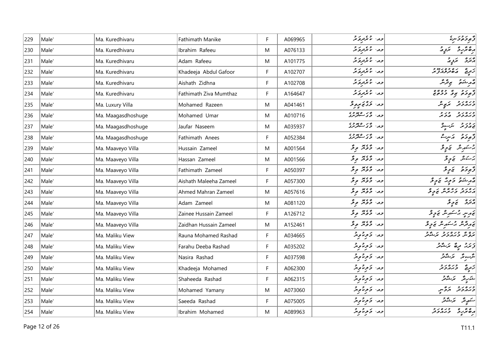| 229 | Male' | Ma. Kuredhivaru    | Fathimath Manike       | F  | A069965 | وړ٤٠ م مرمرو مر                            | ۇ بەر <i>دې</i> رىئە                                                                                           |
|-----|-------|--------------------|------------------------|----|---------|--------------------------------------------|----------------------------------------------------------------------------------------------------------------|
| 230 | Male' | Ma. Kuredhivaru    | Ibrahim Rafeeu         | M  | A076133 | دړ٠ تا ترورونو                             | ىر ھەترىر <i>2</i>                                                                                             |
| 231 | Male' | Ma. Kuredhivaru    | Adam Rafeeu            | M  | A101775 | <i>د</i> ړ ، نامگرېږد د                    | پە رە<br>مەنىرى                                                                                                |
| 232 | Male' | Ma. Kuredhivaru    | Khadeeja Abdul Gafoor  | F  | A102707 | در سي دره د                                | ر ه د ه د دد د<br>پره تر پر تر بر<br>نرَمْرِجٌ                                                                 |
| 233 | Male' | Ma. Kuredhivaru    | Aishath Zidhna         | F  | A102708 | <i>د</i> ړ ، ما ټر پرو تر                  | ۇرمۇمۇم بېرىگە                                                                                                 |
| 234 | Male' | Ma. Kuredhivaru    | Fathimath Ziva Mumthaz | F  | A164647 | وړ٠ تا ټرورو تر                            | و د د ده ده وه<br>ترود د د دوم                                                                                 |
| 235 | Male' | Ma. Luxury Villa   | Mohamed Razeen         | M  | A041461 | دە. ئۇدىئە ئېرە ئ                          | ورەرو كەي ئى                                                                                                   |
| 236 | Male' | Ma. Maagasdhoshuge | Mohamed Umar           | M  | A010716 | وړ٠ وګ ده پوو د<br>وړ٠ وګ ک                | כנסני כני                                                                                                      |
| 237 | Male' | Ma. Maagasdhoshuge | Jaufar Naseem          | M  | A035937 | و در ۱۰ در ۲۵ و د د<br>د در ۱۰ و کل سوتوری | ەردىر سەردە                                                                                                    |
| 238 | Male' | Ma. Maagasdhoshuge | Fathimath Anees        | F  | A052384 | و در ه د و د و د<br>و د گري سوتوري         | أوهوخاه أرسيك                                                                                                  |
| 239 | Male' | Ma. Maaveyo Villa  | Hussain Zameel         | M  | A001564 | وړ٠ وومر وقر                               | برستهرش يجاوع                                                                                                  |
| 240 | Male' | Ma. Maaveyo Villa  | Hassan Zameel          | M  | A001566 | حەر بەيدە ھەمىي                            | يَرْسَعْرَ نَجْ جِ عِنْ                                                                                        |
| 241 | Male' | Ma. Maaveyo Villa  | Fathimath Zameel       | F  | A050397 | وړ٠ وگونز کو                               | وَجِوحَةً يَجْرِ وَ                                                                                            |
| 242 | Male' | Ma. Maaveyo Villa  | Aishath Maleeha Zameel | F  | A057300 | وړ٠ وگونز <sub>فر</sub> و                  | ړٌ پر شکړ د کار د کار د کار د کار د کار د کار د کار د کار د کار کار د کار کار د کار کار کار کار کار کار کار کا |
| 243 | Male' | Ma. Maaveyo Villa  | Ahmed Mahran Zameel    | M  | A057616 | وړ٠ ونومر نوگ                              | رەرد رەپەر ، ئوگ                                                                                               |
| 244 | Male' | Ma. Maaveyo Villa  | Adam Zameel            | M  | A081120 | در په دور وگ                               | أراده بم يحي                                                                                                   |
| 245 | Male' | Ma. Maaveyo Villa  | Zainee Hussain Zameel  | F  | A126712 | أدر وكالله وقر                             | ىمەس جەسىمەش ئۈچە                                                                                              |
| 246 | Male' | Ma. Maaveyo Villa  | Zaidhan Hussain Zameel | M  | A152461 | در په دولا وگ                              | ىم دىگە بە ئەر شىم ئەر                                                                                         |
| 247 | Male' | Ma. Maliku View    | Rauna Mohamed Rashad   | F  | A034665 | در کورتمورژ                                | ره به دره در و رخود<br>برخ س وبربروتر برخوتر                                                                   |
| 248 | Male' | Ma. Maliku View    | Farahu Deeba Rashad    | F  | A035202 | حديب وستحمير                               | وَ يَرَبَّ مِرةَ يَرْجَعْهِ                                                                                    |
| 249 | Male' | Ma. Maliku View    | Nasira Rashad          | F  | A037598 | בו בצעקת                                   | ترجوند الاستمر                                                                                                 |
| 250 | Male' | Ma. Maliku View    | Khadeeja Mohamed       | F  | A062300 | בו בצעקיבת                                 | ترْموِيٌّ<br>و رە ر د<br><i>د بە</i> د تر                                                                      |
| 251 | Male' | Ma. Maliku View    | Shaheeda Rashad        | F  | A062315 | בו בבעקב                                   | شَرِيرٌ   مَرَ شَرْيَرٌ                                                                                        |
| 252 | Male' | Ma. Maliku View    | Mohamed Yamany         | M  | A073060 | حديب ومحبر ومقرمر                          | ورەرو رۇس                                                                                                      |
| 253 | Male' | Ma. Maliku View    | Saeeda Rashad          | F. | A075005 | בו בצעקר                                   | سەرپەئز    ئەشەتر                                                                                              |
| 254 | Male' | Ma. Maliku View    | Ibrahim Mohamed        | M  | A089963 | در کورتور                                  | دە ئەرە دىرەرد                                                                                                 |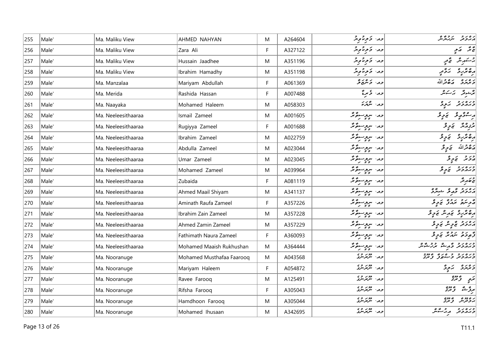| 255 | Male' | Ma. Maliku View     | AHMED NAHYAN              | M | A264604 | در د در و                         | سرد بر هر<br>پروتر                           |
|-----|-------|---------------------|---------------------------|---|---------|-----------------------------------|----------------------------------------------|
| 256 | Male' | Ma. Maliku View     | Zara Ali                  | F | A327122 | בו בצעקיר                         | لتجتمر أيمني                                 |
| 257 | Male' | Ma. Maliku View     | Hussain Jaadhee           | M | A351196 | در د در وره                       | جر ڪمبر شڪ سنگھ سي                           |
| 258 | Male' | Ma. Maliku View     | Ibrahim Hamadhy           | M | A351198 | در کورتمور                        | ەھ <i>ئۈر ئى</i> ئىچ                         |
| 259 | Male' | Ma. Manzalaa        | Mariyam Abdullah          | F | A061369 | وړ کوري                           | تره بره مرد ورالله                           |
| 260 | Male' | Ma. Merida          | Rashida Hassan            | F | A007488 | ور. و برگا                        | لمُرْجُونَةُ الْمَاسَمْسُ                    |
| 261 | Male' | Ma. Naayaka         | Mohamed Haleem            | M | A058303 | وړ شمر                            | ورەرو پەرو                                   |
| 262 | Male' | Ma. Neeleesithaaraa | Ismail Zameel             | M | A001605 | در سرد سوژنگر                     | برڪروپو پي و                                 |
| 263 | Male' | Ma. Neeleesithaaraa | Rugiyya Zameel            | F | A001688 | وړ، سروسوړند<br>په ر              | برومو يحوفه                                  |
| 264 | Male' | Ma. Neeleesithaaraa | Ibrahim Zameel            | M | A022759 | وړ سروسره تو                      | رەپرىر تەرى                                  |
| 265 | Male' | Ma. Neeleesithaaraa | Abdulla Zameel            | M | A023044 | وړ٠ سروسره تو                     | <mark>برە ت</mark> راللە<br>ىم چە بۇ         |
| 266 | Male' | Ma. Neeleesithaaraa | Umar Zameel               | M | A023045 | اوړ ، سروسوی تر<br>د اور او د او  |                                              |
| 267 | Male' | Ma. Neeleesithaaraa | Mohamed Zameel            | M | A039964 | دړ٠ سروسره تو                     | ورەرو پەرو                                   |
| 268 | Male' | Ma. Neeleesithaaraa | Zubaida                   | F | A081119 | اوړ ، سروسوی تر<br>د سروسوی       | ح ئەمرىتر<br>ئ                               |
| 269 | Male' | Ma. Neeleesithaaraa | Ahmed Maail Shiyam        | M | A341137 | وړ٠ سروسره تولند<br>د سروسره تول  | גם גב <sub>محم</sub> و ش <sub>ورگ</sub> و    |
| 270 | Male' | Ma. Neeleesithaaraa | Aminath Raufa Zameel      | F | A357226 |                                   | הכתב גדר הכל                                 |
| 271 | Male' | Ma. Neeleesithaaraa | Ibrahim Zain Zameel       | M | A357228 | وړ٠ سروسونونو                     | رەڭرىر تەرىر تەر ۋ                           |
| 272 | Male' | Ma. Neeleesithaaraa | Ahmed Zamin Zameel        | M | A357229 | وړ سروسونونو<br>د د د             | والمدارو المحمية المعجم والمحمد              |
| 273 | Male' | Ma. Neeleesithaaraa | Fathimath Naura Zameel    | F | A360093 |                                   | ژُودَهُ سَمَتْرُ نَارِدْ                     |
| 274 | Male' | Ma. Neeleesithaaraa | Mohamed Maaish Rukhushan  | M | A364444 | حەر، سروسىۋىمە<br>ئەقسىرى         | ورەرو ئەر ئەرەپتىر                           |
| 275 | Male' | Ma. Nooranuge       | Mohamed Musthafaa Faarooq | M | A043568 | בה - ידיק - כ-<br>בה - ייקיק ייקה |                                              |
| 276 | Male' | Ma. Nooranuge       | Mariyam Haleem            | F | A054872 | כני ייקיק בי<br>כני ייקיקיטב      | د ۱۵ د بر د و                                |
| 277 | Male' | Ma. Nooranuge       | Ravee Farooq              | M | A125491 | כני ייקיק בי<br>כני ייקיקיקה      | ىرە<br>ئىرە ئەتىرى                           |
| 278 | Male' | Ma. Nooranuge       | Rifsha Farooq             | F | A305043 | כני יתובנים<br>כני ייתוביינג      | بروٌ ئەً<br>یر دو ہ<br>تر محر <sup>ب</sup> ی |
| 279 | Male' | Ma. Nooranuge       | Hamdhoon Farooq           | M | A305044 | כני ייקיק בי<br>כני ייקיקייקידי   | ر ه دد مه په دده<br>پرد ترس کو مرد           |
| 280 | Male' | Ma. Nooranuge       | Mohamed Ihusaan           | M | A342695 | وړ . دور وه                       | ورەرو مەشكىر                                 |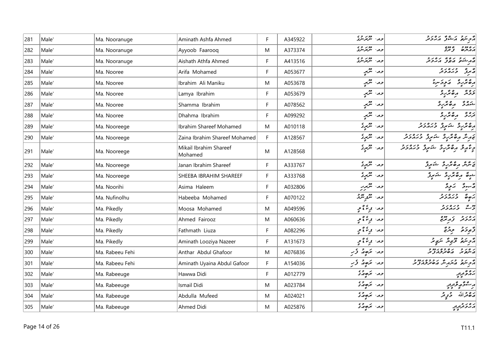| 281 | Male' | Ma. Nooranuge   | Aminath Ashfa Ahmed               | F  | A345922 | כני ייקיק מג                                                        | ه دره دعود دره دره<br>مرد شهر مشور مدرومر                          |
|-----|-------|-----------------|-----------------------------------|----|---------|---------------------------------------------------------------------|--------------------------------------------------------------------|
| 282 | Male' | Ma. Nooranuge   | Ayyoob Faarooq                    | M  | A373374 | כני יי <i>תונ</i> ית.<br>כני ייתונית                                | ג ם בב 2<br>ה'הרישים<br>پر دوه<br>تو مرتو                          |
| 283 | Male' | Ma. Nooranuge   | Aishath Athfa Ahmed               | F  | A413516 | בני י <i>תוב</i> יבי                                                | د دره ده د ده دره<br>مهر شوه مهاو مدوند                            |
| 284 | Male' | Ma. Nooree      | Arifa Mohamed                     | F. | A053677 | حەر شىمىيە                                                          | و رە ر د<br>تر پر تر تر<br>  پر سورتر                              |
| 285 | Male' | Ma. Nooree      | Ibrahim Ali Maniku                | M  | A053678 | در. شهر                                                             | رەتمەر ئەزەر                                                       |
| 286 | Male' | Ma. Nooree      | Lamya Ibrahim                     | F  | A053679 | احد مترسي                                                           | أووش مصريرو                                                        |
| 287 | Male' | Ma. Nooree      | Shamma Ibrahim                    | F. | A078562 | حەر، سىمبر                                                          | ە ھەترىرى<br>برھەترىرى<br>شەھ ۋ                                    |
| 288 | Male' | Ma. Nooree      | Dhahma Ibrahim                    | F  | A099292 | احد متربيبه                                                         | دره و هنگرد                                                        |
| 289 | Male' | Ma. Nooreege    | Ibrahim Shareef Mohamed           | M  | A010118 | در به متربرهٔ                                                       | مەنگرى ئىمرۇ دىمەدىر                                               |
| 290 | Male' | Ma. Nooreege    | Zaina Ibrahim Shareef Mohamed     | F  | A128567 | در به متزهری                                                        | ىم شر مەھگرى ھەمدو دىمەدىر                                         |
| 291 | Male' | Ma. Nooreege    | Mikail Ibrahim Shareef<br>Mohamed | M  | A128568 | در به متربرهٔ                                                       | وشهر وهنرو شهره وبرود                                              |
| 292 | Male' | Ma. Nooreege    | Janan Ibrahim Shareef             | F. | A333767 | در به متزهرهٔ                                                       | في تريد مقدرة كالمورد                                              |
| 293 | Male' | Ma. Nooreege    | SHEEBA IBRAHIM SHAREEF            | F  | A333768 | در به متزهرهٔ                                                       |                                                                    |
| 294 | Male' | Ma. Noorihi     | Asima Haleem                      | F  | A032806 | در. متزمریه                                                         | ۇجۇ ئېچى                                                           |
| 295 | Male' | Ma. Nufinolhu   | Habeeba Mohamed                   | F  | A070122 | دە. مى <sub>گر</sub> ىترى <sup>3</sup>                              | برەغ درەرد                                                         |
| 296 | Male' | Ma. Pikedly     | Moosa Mohamed                     | M  | A049596 | در. بوینامو                                                         | أوقت وبره دو                                                       |
| 297 | Male' | Ma. Pikedly     | Ahmed Fairooz                     | M  | A060636 | در برنگو                                                            | بر ٥ پر و<br>م <i>ر</i> بر <del>و</del> تر<br>تر د بره<br>تر د برج |
| 298 | Male' | Ma. Pikedly     | Fathmath Liuza                    | F. | A082296 | حەر، بورغ قمىي                                                      | وجودة وازة                                                         |
| 299 | Male' | Ma. Pikedly     | Aminath Looziya Nazeer            | F. | A131673 | حەر بورغ قمىي                                                       | أأدوسه وتمي أأرسي المراجح                                          |
| 300 | Male' | Ma. Rabeeu Fehi | Anthar Abdul Ghafoor              | M  | A076836 | در، ئرجار کربر                                                      | ג סג כדי גם כסגמבי<br>הייתה <i>ג</i> ם הליטלייג                    |
| 301 | Male' | Ma. Rabeeu Fehi | Aminath Uyaina Abdul Gafoor       | F  | A154036 | در. برّه د کرر                                                      | ה ביתם התתייל מסתיכת ב                                             |
| 302 | Male' | Ma. Rabeeuge    | Hawwa Didi                        | F  | A012779 | $\begin{vmatrix} 1 & 1 & 1 \\ 1 & 1 & 1 \\ 1 & 1 & 1 \end{vmatrix}$ | پروگ <sup>و</sup> نوبو<br>  پروگ <sup>و</sup> نو                   |
| 303 | Male' | Ma. Rabeeuge    | Ismail Didi                       | M  | A023784 | בו המסוב                                                            | ر مەر<br>مەسىر ئەسىر ئەسىر                                         |
| 304 | Male' | Ma. Rabeeuge    | Abdulla Mufeed                    | M  | A024021 | בו ת'סוב                                                            | رە دالله دېږد                                                      |
| 305 | Male' | Ma. Rabeeuge    | <b>Ahmed Didi</b>                 | M  | A025876 | בו תפוד                                                             | ر ە ر دېدىر<br>مەر ئىرىرىر                                         |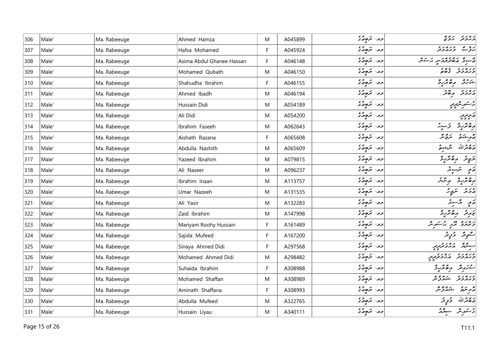| 306 | Male' | Ma. Rabeeuge | Ahmed Hamza               | M         | A045899 | כורי המסובל                                                         | رەرو رەپ                                                                                                                                                                                                                        |
|-----|-------|--------------|---------------------------|-----------|---------|---------------------------------------------------------------------|---------------------------------------------------------------------------------------------------------------------------------------------------------------------------------------------------------------------------------|
| 307 | Male' | Ma. Rabeeuge | Hafsa Mohamed             | F         | A045924 | $\begin{vmatrix} 1 & 1 & 1 \\ 1 & 1 & 1 \end{vmatrix}$              | ره په وره رو                                                                                                                                                                                                                    |
| 308 | Male' | Ma. Rabeeuge | Asima Abdul Ghanee Hassan | F.        | A046148 | $\begin{vmatrix} 1 & 1 & 1 \\ 1 & 1 & 1 \\ 1 & 1 & 1 \end{vmatrix}$ | أيجب والمعامل والمحمد والمستقر                                                                                                                                                                                                  |
| 309 | Male' | Ma. Rabeeuge | Mohamed Qubath            | M         | A046150 | $\begin{vmatrix} 1 & 1 & 1 \\ 1 & 1 & 1 \\ 1 & 1 & 1 \end{vmatrix}$ |                                                                                                                                                                                                                                 |
| 310 | Male' | Ma. Rabeeuge | Shahudha Ibrahim          | F         | A046155 | בגי ת'סמצ                                                           | كمشادقه المتحدث                                                                                                                                                                                                                 |
| 311 | Male' | Ma. Rabeeuge | Ahmed Ibadh               | M         | A046194 | בו ת'סובל                                                           | د ه د د څخه                                                                                                                                                                                                                     |
| 312 | Male' | Ma. Rabeeuge | Hussain Didi              | M         | A054189 | כתי ת'סף בי                                                         | ر مسکو میٹروپر<br> -<br> -                                                                                                                                                                                                      |
| 313 | Male' | Ma. Rabeeuge | Ali Didi                  | M         | A054200 | $\begin{vmatrix} 1 & 1 \\ 2 & 3 \end{vmatrix}$                      | ړ و دردر<br><u>په پ</u>                                                                                                                                                                                                         |
| 314 | Male' | Ma. Rabeeuge | Ibrahim Faseeh            | M         | A062643 | $\begin{vmatrix} 1 & 1 \\ 2 & 3 \end{vmatrix}$                      |                                                                                                                                                                                                                                 |
| 315 | Male' | Ma. Rabeeuge | Aishath Razana            | F         | A065608 | כתי ת'סמצ                                                           |                                                                                                                                                                                                                                 |
| 316 | Male' | Ma. Rabeeuge | Abdulla Nashith           | M         | A065609 | $\begin{vmatrix} 1 & 1 & 1 \\ 2 & 1 & 1 \\ 1 & 1 & 1 \end{vmatrix}$ | مَرْهُ مِّرَ اللَّهُ مُّرْسُومُ                                                                                                                                                                                                 |
| 317 | Male' | Ma. Rabeeuge | Yazeed Ibrahim            | M         | A079815 | כוזי המסוג ב                                                        | הימי הליילים בייליים היו הייליים הייליים הייליים הייליים הייליים הייליים לייליים לא הייליים לא הייליים לא הייל<br>אירועים לא הייליים לא הייליים לא הייליים לא הייליים לא הייליים לא הייליים לא הייליים לא הייליים לא הייליים לא |
| 318 | Male' | Ma. Rabeeuge | Ali Naseer                | M         | A096237 | בגי ת'קיפת ב                                                        | أوالمحمد المتكرمين                                                                                                                                                                                                              |
| 319 | Male' | Ma. Rabeeuge | Ibrahim Inaan             | M         | A113757 | בו ת'סוב                                                            | وهنزرد ويتبتر                                                                                                                                                                                                                   |
| 320 | Male' | Ma. Rabeeuge | Umar Nazeeh               | M         | A131535 | בו ת'סוב                                                            | ور تر تریم شر                                                                                                                                                                                                                   |
| 321 | Male' | Ma. Rabeeuge | Ali Yasir                 | ${\sf M}$ | A132283 | $\begin{vmatrix} 1 & 1 \\ 2 & 3 \end{vmatrix}$                      | ە ئەسىر بىر                                                                                                                                                                                                                     |
| 322 | Male' | Ma. Rabeeuge | Zaid Ibrahim              | M         | A147998 | בו ת'סובל                                                           |                                                                                                                                                                                                                                 |
| 323 | Male' | Ma. Rabeeuge | Mariyam Roohy Hussain     | F         | A161489 | $\begin{vmatrix} 1 & 1 \\ 2 & 3 \end{vmatrix}$                      |                                                                                                                                                                                                                                 |
| 324 | Male' | Ma. Rabeeuge | Sajida Mufeed             | F         | A167200 | כוזי המסוג ב                                                        | ستمع متر - و و مر                                                                                                                                                                                                               |
| 325 | Male' | Ma. Rabeeuge | Sinaya Ahmed Didi         | F         | A297568 | כוזי המסוגל                                                         |                                                                                                                                                                                                                                 |
| 326 | Male' | Ma. Rabeeuge | Mohamed Ahmed Didi        | M         | A298482 | בו ת'סוב                                                            |                                                                                                                                                                                                                                 |
| 327 | Male' | Ma. Rabeeuge | Suhaida Ibrahim           | F         | A308988 | כתי ת'סף בי                                                         | لشركر فره محركة                                                                                                                                                                                                                 |
| 328 | Male' | Ma. Rabeeuge | Mohamed Shaffan           | M         | A308989 | כתי תשמצ                                                            | ورەرو رەپەە<br><i>دىد</i> ەردىر شە <i>م</i> ۇش                                                                                                                                                                                  |
| 329 | Male' | Ma. Rabeeuge | Aminath Shaffana          | F         | A308993 | בגי ת'קיפת ב                                                        | أأروبتهم الشاروقيتر                                                                                                                                                                                                             |
| 330 | Male' | Ma. Rabeeuge | Abdulla Mufeed            | M         | A322765 | כתי ת'סף בי                                                         | برە دانلە دېرىر                                                                                                                                                                                                                 |
| 331 | Male' | Ma. Rabeeuge | Hussain Liyau             | M         | A340111 | כתי ת'סף בי                                                         | גיבתית החלב                                                                                                                                                                                                                     |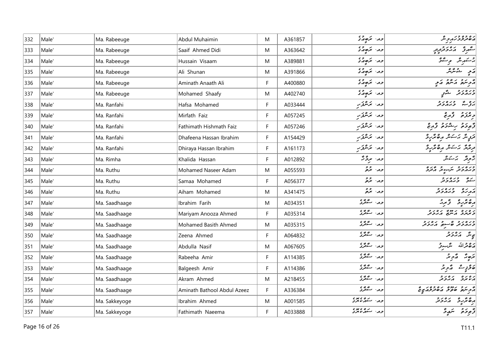| 332 | Male' | Ma. Rabeeuge  | Abdul Muhaimin              | M           | A361857 | כתי תשמצ                                       | ן פיפיד הקבית<br>הסתקבת הקית                 |
|-----|-------|---------------|-----------------------------|-------------|---------|------------------------------------------------|----------------------------------------------|
| 333 | Male' | Ma. Rabeeuge  | Saaif Ahmed Didi            | M           | A363642 | בו השובל                                       | گېږ <i>و ده د و</i> تربربر<br>مگهرو مدروبربر |
| 334 | Male' | Ma. Rabeeuge  | Hussain Visaam              | M           | A389881 | בגי תוסף בי                                    | برسكريش وسقو                                 |
| 335 | Male' | Ma. Rabeeuge  | Ali Shunan                  | M           | A391866 | $\begin{vmatrix} 1 & 1 \\ 2 & 3 \end{vmatrix}$ | أەسمج سىيە ئىشرىتىل                          |
| 336 | Male' | Ma. Rabeeuge  | Aminath Anaath Ali          | F           | A400880 | כתי תשמצ                                       | أأدوسكم أرشم أأرمح                           |
| 337 | Male' | Ma. Rabeeuge  | Mohamed Shaafy              | M           | A402740 | בו ה' הוס בי                                   | ورەر دېگرې                                   |
| 338 | Male' | Ma. Ranfahi   | Hafsa Mohamed               | $\mathsf F$ | A033444 | دە ئەشدىر                                      | ره په دره د د<br>برو په د برمان              |
| 339 | Male' | Ma. Ranfahi   | Mirfath Faiz                | $\mathsf F$ | A057245 | دە ئەتلىق <i>ب</i>                             | ويمرثر وتهده                                 |
| 340 | Male' | Ma. Ranfahi   | Fathimath Hishmath Faiz     | F           | A057246 | دە ئەشدىر                                      | وتجوده رشوده ومره                            |
| 341 | Male' | Ma. Ranfahi   | Dhafeena Hassan Ibrahim     | F           | A154429 | دە· ئەتلىق <sup>ى</sup> ر                      | ترویٹر برے مرہ مربود                         |
| 342 | Male' | Ma. Ranfahi   | Dhiraya Hassan Ibrahim      | F           | A161173 | دەر، ئەشقەر                                    | وریز کر کے دوسر دیگر                         |
| 343 | Male' | Ma. Rimha     | Khalida Hassan              | $\mathsf F$ | A012892 | وړ٠ بروگ                                       | گرونگ انرڪس                                  |
| 344 | Male' | Ma. Ruthu     | Mohamed Naseer Adam         | M           | A055593 | כו. יבים                                       | ورەر د بربەتر مەدرە<br><i>دى</i> مەدونر س    |
| 345 | Male' | Ma. Ruthu     | Samaa Mohamed               | $\mathsf F$ | A056377 | و د.<br>وړ بره                                 | $3,0,0,0$ $3,0$                              |
| 346 | Male' | Ma. Ruthu     | Aiham Mohamed               | M           | A341475 | כו. יבכ                                        | بربره وره در                                 |
| 347 | Male' | Ma. Saadhaage | Ibrahim Farih               | M           | A034351 | وړ کوي                                         | رەپرىر ۋىر                                   |
| 348 | Male' | Ma. Saadhaage | Mariyam Anooza Ahmed        | F           | A035314 | وړ گوي                                         | נסנס נחמי נסנד<br>כמחב הייש הגבת             |
| 349 | Male' | Ma. Saadhaage | Mohamed Basith Ahmed        | M           | A035315 | وړ گوي                                         | ورەر د په د در د د                           |
| 350 | Male' | Ma. Saadhaage | Zeena Ahmed                 | F           | A064832 | وړ گوي                                         | پې شکړ د کرد <del>و</del>                    |
| 351 | Male' | Ma. Saadhaage | Abdulla Nasif               | M           | A067605 | وړ کړي                                         | رەقمەللە سەبىر                               |
| 352 | Male' | Ma. Saadhaage | Rabeeha Amir                | $\mathsf F$ | A114385 | وړ گوي                                         | برەر ئەربر                                   |
| 353 | Male' | Ma. Saadhaage | Balgeesh Amir               | F           | A114386 | وړ کړي                                         | ەۋىي ھېرىم                                   |
| 354 | Male' | Ma. Saadhaage | Akram Ahmed                 | M           | A218455 | وړ کوي                                         | رەرە رەرد                                    |
| 355 | Male' | Ma. Saadhaage | Aminath Bathool Abdul Azeez | F           | A336384 | وړ گوي                                         | ב מב מחם מסבפת ם                             |
| 356 | Male' | Ma. Sakkeyoge | Ibrahim Ahmed               | M           | A001585 | הם ייתרות בי                                   | دەنزىر مەدد                                  |
| 357 | Male' | Ma. Sakkeyoge | Fathimath Naeema            | E           | A033888 | ת ה כ גיב גי<br>כ ה י הת מ ת ג                 | وَجودَهُ سَمِدٍ وَ                           |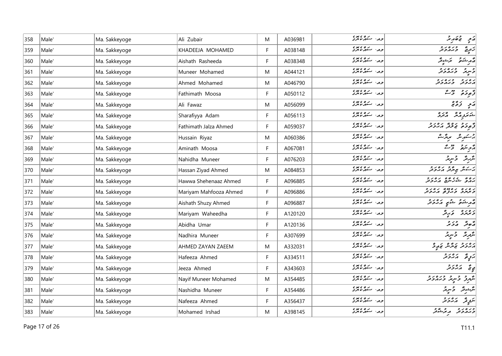| 358 | Male' | Ma. Sakkeyoge | Ali Zubair             | M           | A036981 | ת ה כ גיב גי<br>כ ה י הת מ ת ג  | $3.102 - 5.0$                                                                        |
|-----|-------|---------------|------------------------|-------------|---------|---------------------------------|--------------------------------------------------------------------------------------|
| 359 | Male' | Ma. Sakkeyoge | KHADEEJA MOHAMED       | F           | A038148 | הם הבכישי<br>הם הבליטודים       | ترموچّ<br>و رە ر د<br><i>د بە</i> د تر                                               |
| 360 | Male' | Ma. Sakkeyoge | Aishath Rasheeda       | F           | A038348 | ת ה כ גם גיבי<br>הגיעת המיניים  | و<br>وگرځو گرځونگر                                                                   |
| 361 | Male' | Ma. Sakkeyoge | Muneer Mohamed         | M           | A044121 | הם ישמשים<br>הם ישמשותב         | و ره ر د<br><i>د ب</i> رگرفر<br>3 سرپر<br>ح                                          |
| 362 | Male' | Ma. Sakkeyoge | Ahmed Mohamed          | M           | A046790 | הם משמש<br>הם המינות            | ג סגב בג סגב<br>הגבע בגהבע                                                           |
| 363 | Male' | Ma. Sakkeyoge | Fathimath Moosa        | $\mathsf F$ | A050112 | הם ייתרו ביבי<br>היה ייתרו ביבי | ۇ بۇ بۇ بەلگە                                                                        |
| 364 | Male' | Ma. Sakkeyoge | Ali Fawaz              | M           | A056099 | הם ישמשים<br>הם ישמעות          | أتذمي وكالحمي                                                                        |
| 365 | Male' | Ma. Sakkeyoge | Sharafiyya Adam        | F           | A056113 | קה - הם גם בי                   | شەمرومەر مەمرە                                                                       |
| 366 | Male' | Ma. Sakkeyoge | Fathimath Jalza Ahmed  | F           | A059037 | הם הבכישי<br>הם הבליטודים       | و د د ده و ده د د                                                                    |
| 367 | Male' | Ma. Sakkeyoge | Hussain Riyaz          | M           | A060386 | ת ה כ גם גיבי<br>הגיעת המיניים  | برحسكر مرتزعه                                                                        |
| 368 | Male' | Ma. Sakkeyoge | Aminath Moosa          | F           | A067081 | הם ישרא בי                      | أزويتره وحرث                                                                         |
| 369 | Male' | Ma. Sakkeyoge | Nahidha Muneer         | F           | A076203 | ת ה כ גם גיבי<br>הגיעת המיניים  | لتربرته وتبريز                                                                       |
| 370 | Male' | Ma. Sakkeyoge | Hassan Ziyad Ahmed     | M           | A084853 | ת ה כ גם גיבי<br>הגיעת המיניים  | ر کر سے مرکز مدد در<br>برگ سرگر مدد تر                                               |
| 371 | Male' | Ma. Sakkeyoge | Hawwa Shehenaaz Ahmed  | $\mathsf F$ | A096885 | הם ייתרו ביבי<br>היה ייתרו ביבי | رەپ پى پەرە رەرد                                                                     |
| 372 | Male' | Ma. Sakkeyoge | Mariyam Mahfooza Ahmed | F           | A096886 | הם ייתרו ביבי<br>היה ייתרו ביבי | ג סג ס ג סמיד ג סג כ<br><mark>ק <i>אורכ "כ ג'צ ק ג הכ</i>ת</mark>                    |
| 373 | Male' | Ma. Sakkeyoge | Aishath Shuzy Ahmed    | F           | A096887 | הם הבכישי<br>הם הבליטודים       | وأرشكم شكي وكالمرد                                                                   |
| 374 | Male' | Ma. Sakkeyoge | Mariyam Waheedha       | F           | A120120 | הם ייתרו ביבי<br>היה ייתרו ביבי | د ۱۵ د م په تگر                                                                      |
| 375 | Male' | Ma. Sakkeyoge | Abidha Umar            | F           | A120136 | ת ה כ גם גיבי<br>הגיעת המיניים  | ړُه دُ کړکر                                                                          |
| 376 | Male' | Ma. Sakkeyoge | Nadhira Muneer         | F           | A307699 | ת ה כ גם גיבי<br>הגיעת המיניים  | لترمرنگ و کمبرنگر                                                                    |
| 377 | Male' | Ma. Sakkeyoge | AHMED ZAYAN ZAEEM      | M           | A332031 | ת ה כ גם גיבי<br>הגיעת המיניים  | גפגב גוב בי הב                                                                       |
| 378 | Male' | Ma. Sakkeyoge | Hafeeza Ahmed          | $\mathsf F$ | A334511 | הם ייתרו ביבי<br>היה ייתרו ביבי | پروپخته از بر در در در این در این در این در این در دارد.<br>  در این در این در در در |
| 379 | Male' | Ma. Sakkeyoge | Jeeza Ahmed            | F           | A343603 | ת ה כ גם גיבי<br>הגיעת המיניים  | مِي تَحْمَدُ حَرْمَد                                                                 |
| 380 | Male' | Ma. Sakkeyoge | Nayif Muneer Mohamed   | M           | A354485 | הם הבכישי<br>הם הבליטודים       | شرو و پر ورورو                                                                       |
| 381 | Male' | Ma. Sakkeyoge | Nashidha Muneer        | F           | A354486 | ת הם היבה<br>כגי היה היות       | س <i>رگور د چېرنگ</i> ر                                                              |
| 382 | Male' | Ma. Sakkeyoge | Nafeeza Ahmed          | F           | A356437 | הם ישרא בי                      | سَمِيشٌ - مَا يَرْحَمْ                                                               |
| 383 | Male' | Ma. Sakkeyoge | Mohamed Irshad         | M           | A398145 | הם ישמשים<br>הם ישמשותב         | ورەرو مەشگەر<br><i>جەم</i> ەرىي مەرشگەر                                              |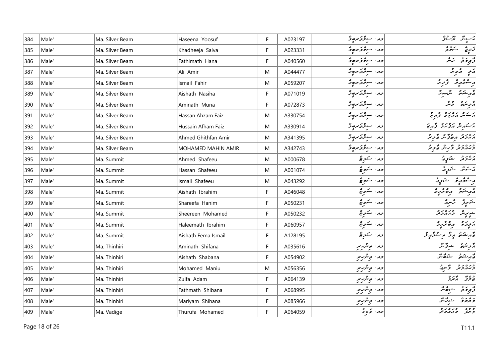| 384 | Male' | Ma. Silver Beam | Haseena Yoosuf      | F           | A023197 | ادر سرگره مرجود                                                                     |                                        |
|-----|-------|-----------------|---------------------|-------------|---------|-------------------------------------------------------------------------------------|----------------------------------------|
| 385 | Male' | Ma. Silver Beam | Khadheeja Salva     | F           | A023331 | $\mathcal{E}_{\mathcal{P}}$ כו $\mathcal{E}_{\mathcal{P}}$ - הרב                    | ر<br>سمي سيمبر<br>سمي<br>سترقر         |
| 386 | Male' | Ma. Silver Beam | Fathimath Hana      | F           | A040560 | $\mathcal{E}_{\mathcal{P}}$ $\mathcal{E}_{\mathcal{P}}$ $\mathcal{E}_{\mathcal{P}}$ | وٌودو رَيْرُ                           |
| 387 | Male' | Ma. Silver Beam | Ali Amir            | M           | A044477 | כו. תיצע <i>מס</i> ל                                                                | ړې پر د                                |
| 388 | Male' | Ma. Silver Beam | Ismail Fahir        | M           | A059207 | בו ייצע מסל                                                                         | رەمۇر ۋرىژ                             |
| 389 | Male' | Ma. Silver Beam | Aishath Nasiha      | $\mathsf F$ | A071019 | בו תיבלתפל                                                                          | لأرشكم الترجيز                         |
| 390 | Male' | Ma. Silver Beam | Aminath Muna        | $\mathsf F$ | A072873 | בו ייתבל מפי                                                                        | أأوسكم وس                              |
| 391 | Male' | Ma. Silver Beam | Hassan Ahzam Faiz   | M           | A330754 | ادر سوده مرجود                                                                      | ير شامل المرجاح المجمدة                |
| 392 | Male' | Ma. Silver Beam | Hussain Afham Faiz  | M           | A330914 | $ s_{\varphi}$ , $\frac{1}{2}$                                                      | بر سەر شەرى ئەرج                       |
| 393 | Male' | Ma. Silver Beam | Ahmed Ghithfan Amir | M           | A341395 | $ s_{\varphi}$ , $\frac{1}{2}$                                                      | ړه د په دوه په پر پر                   |
| 394 | Male' | Ma. Silver Beam | MOHAMED MAHIN AMIR  | M           | A342743 | $ s_{\varphi}$ , $\frac{1}{2}$                                                      | ورورو ورعه ووير                        |
| 395 | Male' | Ma. Summit      | Ahmed Shafeeu       | M           | A000678 | در، سکویځ                                                                           | كالمركز والمحاوية                      |
| 396 | Male' | Ma. Summit      | Hassan Shafeeu      | M           | A001074 | در. سَوْقْ                                                                          | بركشش المشرورة                         |
| 397 | Male' | Ma. Summit      | Ismail Shafeeu      | M           | A043292 | در. سَوْءٍ                                                                          | بر شۇم ئىس ئىستىر ئى                   |
| 398 | Male' | Ma. Summit      | Aishath Ibrahim     | $\mathsf F$ | A046048 | در. سکوهی                                                                           |                                        |
| 399 | Male' | Ma. Summit      | Shareefa Hanim      | F           | A050231 | در، سکویځ                                                                           | لمنورة الأسرد                          |
| 400 | Male' | Ma. Summit      | Sheereen Mohamed    | F           | A050232 | در. سکوهی                                                                           | جي پڻ جي دور                           |
| 401 | Male' | Ma. Summit      | Haleemath Ibrahim   | $\mathsf F$ | A060957 | در. سکوهی                                                                           |                                        |
| 402 | Male' | Ma. Summit      | Aishath Eema Ismail | F           | A128195 | در، سکویځ                                                                           | ړٌ د شوه پرځ پر شوځږي                  |
| 403 | Male' | Ma. Thinhiri    | Aminath Shifana     | F           | A035616 | در موسر سر<br>  در موسر سر                                                          | ۇرچىدە ھۆر                             |
| 404 | Male' | Ma. Thinhiri    | Aishath Shabana     | F           | A054902 | حەر، م <sub>ە</sub> شرىرىد                                                          | ۇرشۇ شەھىر                             |
| 405 | Male' | Ma. Thinhiri    | Mohamed Maniu       | M           | A056356 | در و عرب                                                                            | و ره ر و<br><i>د بر</i> د تر<br>تر سرچ |
| 406 | Male' | Ma. Thinhiri    | Zulfa Adam          | F           | A064139 | <br> در ویژبر                                                                       | وه پر مجمده<br>بح محرق اگرانژانژ       |
| 407 | Male' | Ma. Thinhiri    | Fathmath Shibana    | F           | A068995 | حەر، م <sub>ە</sub> مەرىبر<br>مەم                                                   | ۇ بوڭ ئىدە ئىر                         |
| 408 | Male' | Ma. Thinhiri    | Mariyam Shihana     | F           | A085966 | حەر، م <sub>ە</sub> سىرىر<br>مە                                                     | رەرە <sub>شو</sub> رَمَّز              |
| 409 | Male' | Ma. Vadige      | Thurufa Mohamed     | F           | A064059 | احد تحدی                                                                            | و وه د وره رو<br>جرگل تربر جرگ         |
|     |       |                 |                     |             |         |                                                                                     |                                        |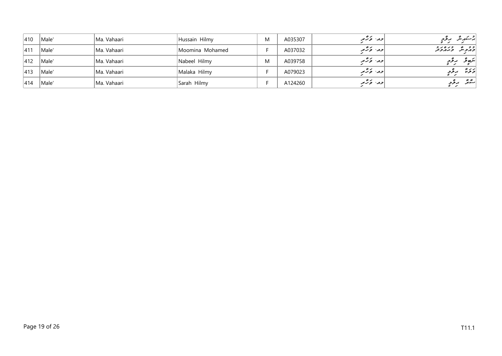| $ 410\rangle$ | Male' | Ma. Vahaari | Hussain Hilmy   | M | A035307 | وړ به ترتيمه    | بر سے مد میں<br>برموحر                    |
|---------------|-------|-------------|-----------------|---|---------|-----------------|-------------------------------------------|
| 411           | Male' | Ma. Vahaari | Moomina Mohamed |   | A037032 | وړ به تر تخه پر | و د په ش<br>و ره ر و<br>تر <i>پر د</i> تر |
| $ 412\rangle$ | Male' | Ma. Vahaari | Nabeel Hilmy    | M | A039758 | وړ به تر تخه پر | سرە ئۇ<br>حرو                             |
| $ 413\rangle$ | Male' | Ma. Vahaari | Malaka Hilmy    |   | A079023 | دە. بۇ شىر      | ۇ ئەن<br>رمور                             |
| 414           | Male' | Ma. Vahaari | Sarah Hilmy     |   | A124260 | <br> ور. وزير   | سەتە<br>برعرو                             |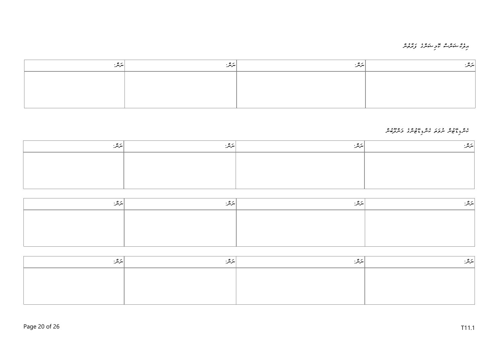## *w7qAn8m? sCw7mRo>u; wEw7mRw;sBo<*

| ' مرمر | 'يئرىثر: |
|--------|----------|
|        |          |
|        |          |
|        |          |

## *w7q9r@w7m> sCw7qHtFoFw7s; mAm=q7 w7qHtFoFw7s;*

| يئرمىش: | $^{\circ}$<br>. سر سر<br>$\cdot$ | $\circ$ $\sim$<br>-- | يئرمثر |
|---------|----------------------------------|----------------------|--------|
|         |                                  |                      |        |
|         |                                  |                      |        |
|         |                                  |                      |        |

| $\frac{2}{n}$ | $\overline{\phantom{a}}$ | اير هنه. | $\mathcal{O} \times$<br>سرسر |
|---------------|--------------------------|----------|------------------------------|
|               |                          |          |                              |
|               |                          |          |                              |
|               |                          |          |                              |

| ' ئىرتىر: | سر سر |  |
|-----------|-------|--|
|           |       |  |
|           |       |  |
|           |       |  |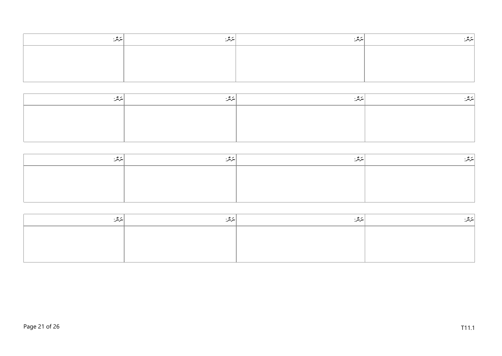| يزهر | $^{\circ}$ | ىئرىتر: |  |
|------|------------|---------|--|
|      |            |         |  |
|      |            |         |  |
|      |            |         |  |

| <sup>.</sup> سرسر. |  |
|--------------------|--|
|                    |  |
|                    |  |
|                    |  |

| ىئرىتر. | $\sim$ | ا بر هه. | لىرىش |
|---------|--------|----------|-------|
|         |        |          |       |
|         |        |          |       |
|         |        |          |       |

| 。<br>مرس. | $\overline{\phantom{a}}$<br>مر مىر | ىرىر |
|-----------|------------------------------------|------|
|           |                                    |      |
|           |                                    |      |
|           |                                    |      |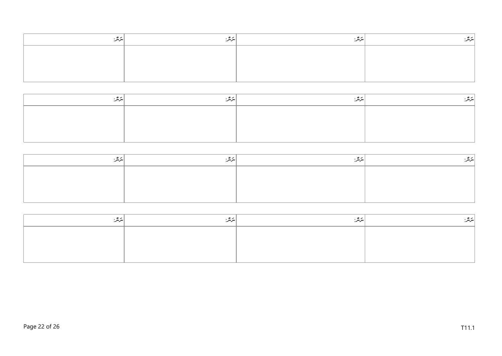| ير هو . | $\overline{\phantom{a}}$ | يرمر | اير هنه. |
|---------|--------------------------|------|----------|
|         |                          |      |          |
|         |                          |      |          |
|         |                          |      |          |

| ئىرتىر: | $\sim$<br>ا سرسر . | يئرمثر | o . |
|---------|--------------------|--------|-----|
|         |                    |        |     |
|         |                    |        |     |
|         |                    |        |     |

| 'تترنثر: | . .<br>يسمونس. |  |
|----------|----------------|--|
|          |                |  |
|          |                |  |
|          |                |  |

|  | . ه |
|--|-----|
|  |     |
|  |     |
|  |     |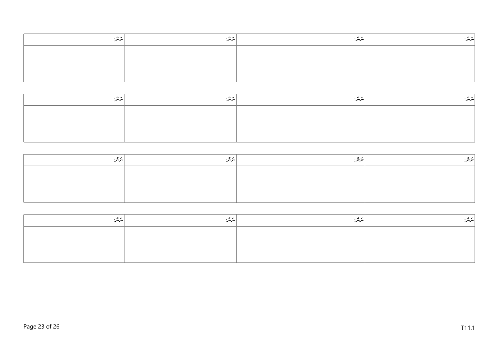| ير هو . | $\overline{\phantom{a}}$ | يرمر | اير هنه. |
|---------|--------------------------|------|----------|
|         |                          |      |          |
|         |                          |      |          |
|         |                          |      |          |

| ئىرتىر: | $\sim$<br>ا سرسر . | يئرمثر | o . |
|---------|--------------------|--------|-----|
|         |                    |        |     |
|         |                    |        |     |
|         |                    |        |     |

| 'تترنثر: | . .<br>يسمونس. |  |
|----------|----------------|--|
|          |                |  |
|          |                |  |
|          |                |  |

|  | . ه |
|--|-----|
|  |     |
|  |     |
|  |     |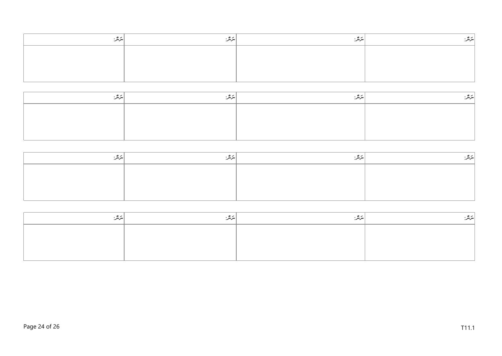| $\cdot$ | 。 | $\frac{\circ}{\cdot}$ | $\sim$<br>سرسر |
|---------|---|-----------------------|----------------|
|         |   |                       |                |
|         |   |                       |                |
|         |   |                       |                |

| ايرعر: | ر ه<br>. . |  |
|--------|------------|--|
|        |            |  |
|        |            |  |
|        |            |  |

| بر ه | . ه | $\overline{\phantom{0}}$<br>سرسر |  |
|------|-----|----------------------------------|--|
|      |     |                                  |  |
|      |     |                                  |  |
|      |     |                                  |  |

| 。<br>. س | ىرىىر |  |
|----------|-------|--|
|          |       |  |
|          |       |  |
|          |       |  |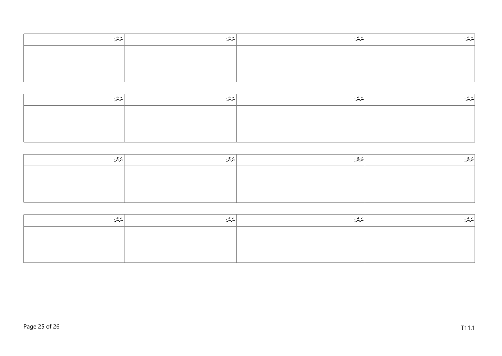| ير هو . | $\overline{\phantom{a}}$ | يرمر | اير هنه. |
|---------|--------------------------|------|----------|
|         |                          |      |          |
|         |                          |      |          |
|         |                          |      |          |

| ىر تىر: | $\circ$ $\sim$<br>" سرسر . | يبرحه | o . |
|---------|----------------------------|-------|-----|
|         |                            |       |     |
|         |                            |       |     |
|         |                            |       |     |

| انترنثر: | ر ه |  |
|----------|-----|--|
|          |     |  |
|          |     |  |
|          |     |  |

|  | . ه |
|--|-----|
|  |     |
|  |     |
|  |     |